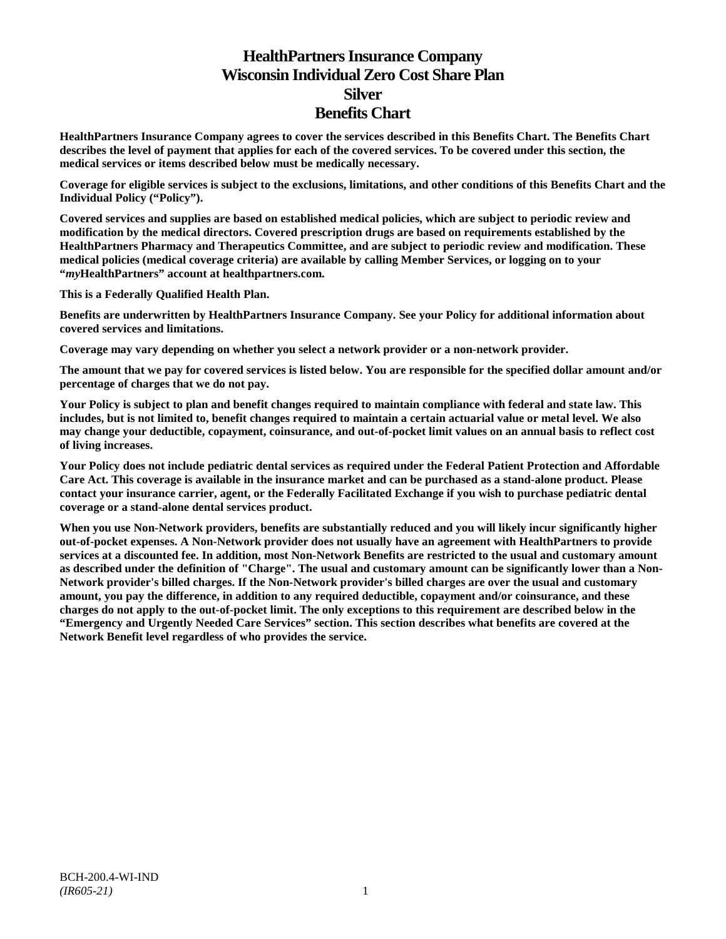# **HealthPartners Insurance Company Wisconsin Individual Zero Cost Share Plan Silver Benefits Chart**

**HealthPartners Insurance Company agrees to cover the services described in this Benefits Chart. The Benefits Chart describes the level of payment that applies for each of the covered services. To be covered under this section, the medical services or items described below must be medically necessary.**

**Coverage for eligible services is subject to the exclusions, limitations, and other conditions of this Benefits Chart and the Individual Policy ("Policy").**

**Covered services and supplies are based on established medical policies, which are subject to periodic review and modification by the medical directors. Covered prescription drugs are based on requirements established by the HealthPartners Pharmacy and Therapeutics Committee, and are subject to periodic review and modification. These medical policies (medical coverage criteria) are available by calling Member Services, or logging on to your "***my***HealthPartners" account at [healthpartners.com.](http://www.healthpartners.com/)**

**This is a Federally Qualified Health Plan.**

**Benefits are underwritten by HealthPartners Insurance Company. See your Policy for additional information about covered services and limitations.**

**Coverage may vary depending on whether you select a network provider or a non-network provider.**

**The amount that we pay for covered services is listed below. You are responsible for the specified dollar amount and/or percentage of charges that we do not pay.**

**Your Policy is subject to plan and benefit changes required to maintain compliance with federal and state law. This includes, but is not limited to, benefit changes required to maintain a certain actuarial value or metal level. We also may change your deductible, copayment, coinsurance, and out-of-pocket limit values on an annual basis to reflect cost of living increases.**

**Your Policy does not include pediatric dental services as required under the Federal Patient Protection and Affordable Care Act. This coverage is available in the insurance market and can be purchased as a stand-alone product. Please contact your insurance carrier, agent, or the Federally Facilitated Exchange if you wish to purchase pediatric dental coverage or a stand-alone dental services product.**

**When you use Non-Network providers, benefits are substantially reduced and you will likely incur significantly higher out-of-pocket expenses. A Non-Network provider does not usually have an agreement with HealthPartners to provide services at a discounted fee. In addition, most Non-Network Benefits are restricted to the usual and customary amount as described under the definition of "Charge". The usual and customary amount can be significantly lower than a Non-Network provider's billed charges. If the Non-Network provider's billed charges are over the usual and customary amount, you pay the difference, in addition to any required deductible, copayment and/or coinsurance, and these charges do not apply to the out-of-pocket limit. The only exceptions to this requirement are described below in the "Emergency and Urgently Needed Care Services" section. This section describes what benefits are covered at the Network Benefit level regardless of who provides the service.**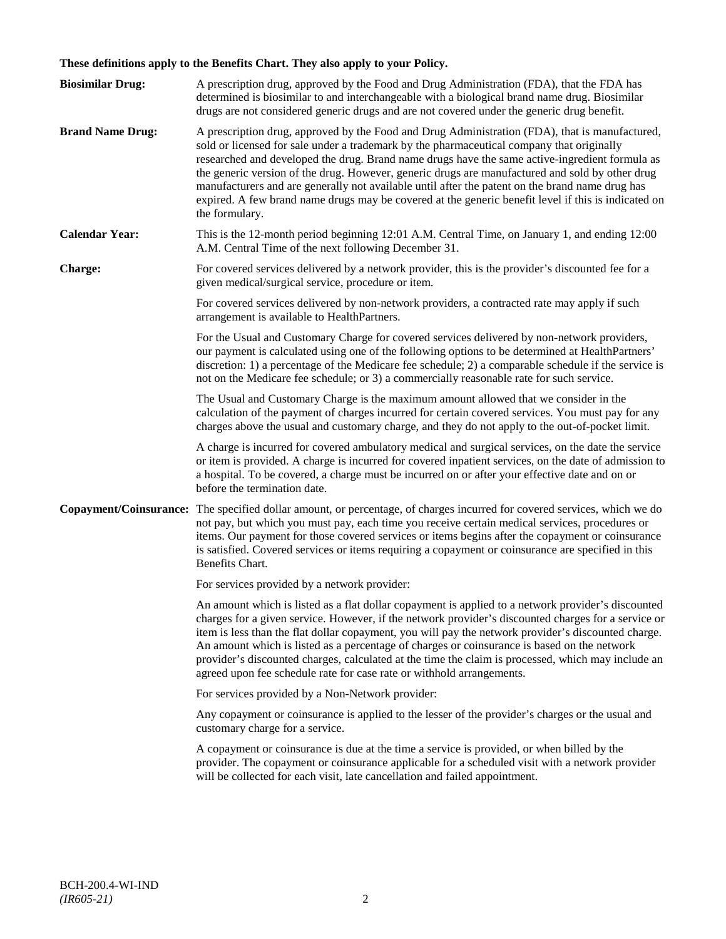# **These definitions apply to the Benefits Chart. They also apply to your Policy.**

| <b>Biosimilar Drug:</b> | A prescription drug, approved by the Food and Drug Administration (FDA), that the FDA has<br>determined is biosimilar to and interchangeable with a biological brand name drug. Biosimilar<br>drugs are not considered generic drugs and are not covered under the generic drug benefit.                                                                                                                                                                                                                                                                                                                                     |
|-------------------------|------------------------------------------------------------------------------------------------------------------------------------------------------------------------------------------------------------------------------------------------------------------------------------------------------------------------------------------------------------------------------------------------------------------------------------------------------------------------------------------------------------------------------------------------------------------------------------------------------------------------------|
| <b>Brand Name Drug:</b> | A prescription drug, approved by the Food and Drug Administration (FDA), that is manufactured,<br>sold or licensed for sale under a trademark by the pharmaceutical company that originally<br>researched and developed the drug. Brand name drugs have the same active-ingredient formula as<br>the generic version of the drug. However, generic drugs are manufactured and sold by other drug<br>manufacturers and are generally not available until after the patent on the brand name drug has<br>expired. A few brand name drugs may be covered at the generic benefit level if this is indicated on<br>the formulary. |
| <b>Calendar Year:</b>   | This is the 12-month period beginning 12:01 A.M. Central Time, on January 1, and ending 12:00<br>A.M. Central Time of the next following December 31.                                                                                                                                                                                                                                                                                                                                                                                                                                                                        |
| Charge:                 | For covered services delivered by a network provider, this is the provider's discounted fee for a<br>given medical/surgical service, procedure or item.                                                                                                                                                                                                                                                                                                                                                                                                                                                                      |
|                         | For covered services delivered by non-network providers, a contracted rate may apply if such<br>arrangement is available to HealthPartners.                                                                                                                                                                                                                                                                                                                                                                                                                                                                                  |
|                         | For the Usual and Customary Charge for covered services delivered by non-network providers,<br>our payment is calculated using one of the following options to be determined at HealthPartners'<br>discretion: 1) a percentage of the Medicare fee schedule; 2) a comparable schedule if the service is<br>not on the Medicare fee schedule; or 3) a commercially reasonable rate for such service.                                                                                                                                                                                                                          |
|                         | The Usual and Customary Charge is the maximum amount allowed that we consider in the<br>calculation of the payment of charges incurred for certain covered services. You must pay for any<br>charges above the usual and customary charge, and they do not apply to the out-of-pocket limit.                                                                                                                                                                                                                                                                                                                                 |
|                         | A charge is incurred for covered ambulatory medical and surgical services, on the date the service<br>or item is provided. A charge is incurred for covered inpatient services, on the date of admission to<br>a hospital. To be covered, a charge must be incurred on or after your effective date and on or<br>before the termination date.                                                                                                                                                                                                                                                                                |
| Copayment/Coinsurance:  | The specified dollar amount, or percentage, of charges incurred for covered services, which we do<br>not pay, but which you must pay, each time you receive certain medical services, procedures or<br>items. Our payment for those covered services or items begins after the copayment or coinsurance<br>is satisfied. Covered services or items requiring a copayment or coinsurance are specified in this<br>Benefits Chart.                                                                                                                                                                                             |
|                         | For services provided by a network provider:                                                                                                                                                                                                                                                                                                                                                                                                                                                                                                                                                                                 |
|                         | An amount which is listed as a flat dollar copayment is applied to a network provider's discounted<br>charges for a given service. However, if the network provider's discounted charges for a service or<br>item is less than the flat dollar copayment, you will pay the network provider's discounted charge.<br>An amount which is listed as a percentage of charges or coinsurance is based on the network<br>provider's discounted charges, calculated at the time the claim is processed, which may include an<br>agreed upon fee schedule rate for case rate or withhold arrangements.                               |
|                         | For services provided by a Non-Network provider:                                                                                                                                                                                                                                                                                                                                                                                                                                                                                                                                                                             |
|                         | Any copayment or coinsurance is applied to the lesser of the provider's charges or the usual and<br>customary charge for a service.                                                                                                                                                                                                                                                                                                                                                                                                                                                                                          |
|                         | A copayment or coinsurance is due at the time a service is provided, or when billed by the<br>provider. The copayment or coinsurance applicable for a scheduled visit with a network provider<br>will be collected for each visit, late cancellation and failed appointment.                                                                                                                                                                                                                                                                                                                                                 |
|                         |                                                                                                                                                                                                                                                                                                                                                                                                                                                                                                                                                                                                                              |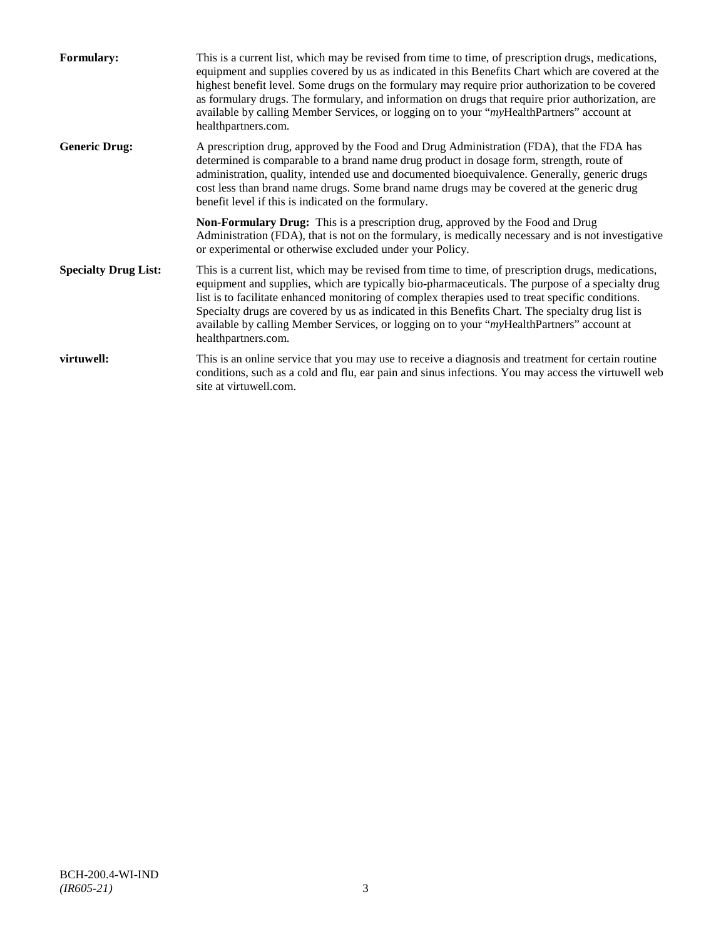| <b>Formulary:</b>           | This is a current list, which may be revised from time to time, of prescription drugs, medications,<br>equipment and supplies covered by us as indicated in this Benefits Chart which are covered at the<br>highest benefit level. Some drugs on the formulary may require prior authorization to be covered<br>as formulary drugs. The formulary, and information on drugs that require prior authorization, are<br>available by calling Member Services, or logging on to your "myHealthPartners" account at<br>healthpartners.com. |
|-----------------------------|---------------------------------------------------------------------------------------------------------------------------------------------------------------------------------------------------------------------------------------------------------------------------------------------------------------------------------------------------------------------------------------------------------------------------------------------------------------------------------------------------------------------------------------|
| <b>Generic Drug:</b>        | A prescription drug, approved by the Food and Drug Administration (FDA), that the FDA has<br>determined is comparable to a brand name drug product in dosage form, strength, route of<br>administration, quality, intended use and documented bioequivalence. Generally, generic drugs<br>cost less than brand name drugs. Some brand name drugs may be covered at the generic drug<br>benefit level if this is indicated on the formulary.                                                                                           |
|                             | <b>Non-Formulary Drug:</b> This is a prescription drug, approved by the Food and Drug<br>Administration (FDA), that is not on the formulary, is medically necessary and is not investigative<br>or experimental or otherwise excluded under your Policy.                                                                                                                                                                                                                                                                              |
| <b>Specialty Drug List:</b> | This is a current list, which may be revised from time to time, of prescription drugs, medications,<br>equipment and supplies, which are typically bio-pharmaceuticals. The purpose of a specialty drug<br>list is to facilitate enhanced monitoring of complex therapies used to treat specific conditions.<br>Specialty drugs are covered by us as indicated in this Benefits Chart. The specialty drug list is<br>available by calling Member Services, or logging on to your "myHealthPartners" account at<br>healthpartners.com. |
| virtuwell:                  | This is an online service that you may use to receive a diagnosis and treatment for certain routine<br>conditions, such as a cold and flu, ear pain and sinus infections. You may access the virtuwell web<br>site at virtuwell.com.                                                                                                                                                                                                                                                                                                  |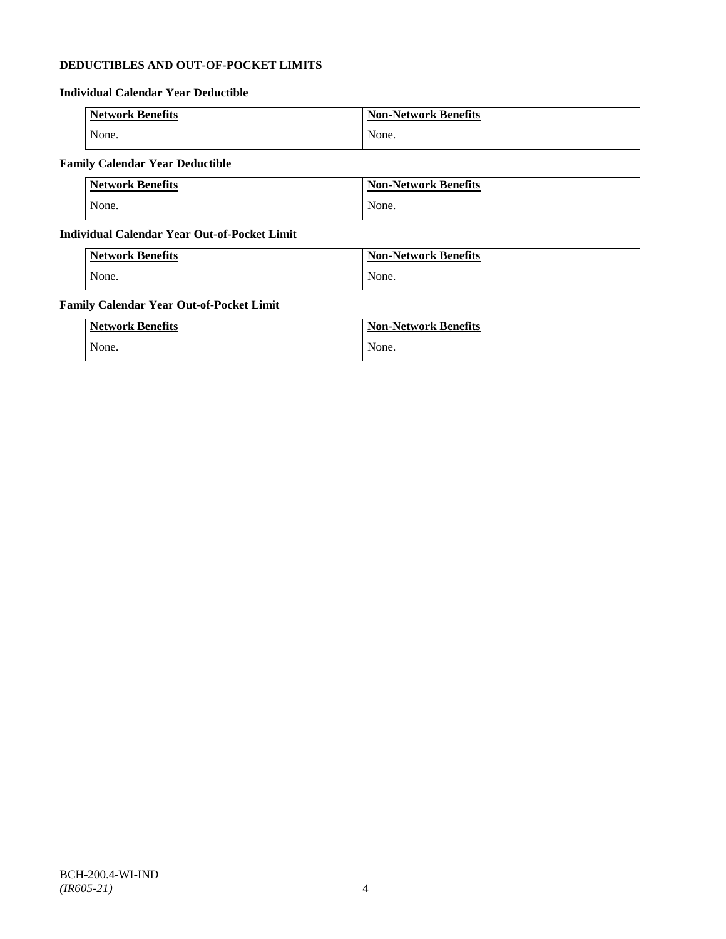# **DEDUCTIBLES AND OUT-OF-POCKET LIMITS**

# **Individual Calendar Year Deductible**

| <b>Network Benefits</b> | <b>Non-Network Benefits</b> |
|-------------------------|-----------------------------|
| None.                   | None.                       |

# **Family Calendar Year Deductible**

| <b>Network Benefits</b> | <b>Non-Network Benefits</b> |
|-------------------------|-----------------------------|
| None.                   | None.                       |

# **Individual Calendar Year Out-of-Pocket Limit**

| <b>Network Benefits</b> | <b>Non-Network Benefits</b> |
|-------------------------|-----------------------------|
| None.                   | None.                       |

# **Family Calendar Year Out-of-Pocket Limit**

| <b>Network Benefits</b> | <b>Non-Network Benefits</b> |
|-------------------------|-----------------------------|
| None.                   | None.                       |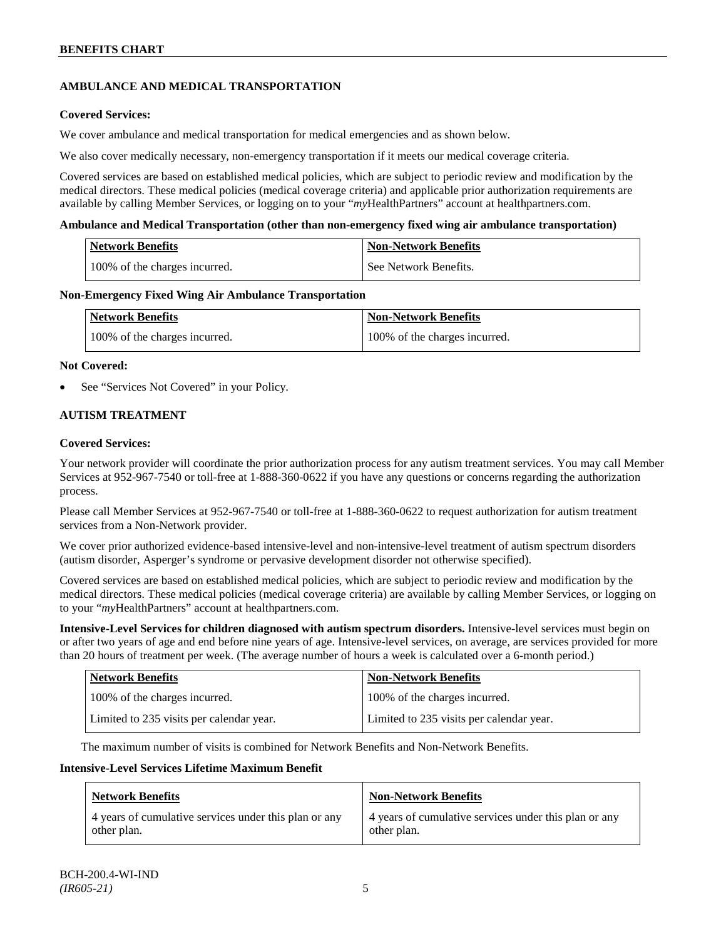# **AMBULANCE AND MEDICAL TRANSPORTATION**

# **Covered Services:**

We cover ambulance and medical transportation for medical emergencies and as shown below.

We also cover medically necessary, non-emergency transportation if it meets our medical coverage criteria.

Covered services are based on established medical policies, which are subject to periodic review and modification by the medical directors. These medical policies (medical coverage criteria) and applicable prior authorization requirements are available by calling Member Services, or logging on to your "*my*HealthPartners" account a[t healthpartners.com.](http://www.healthpartners.com/)

### **Ambulance and Medical Transportation (other than non-emergency fixed wing air ambulance transportation)**

| <b>Network Benefits</b> |                               | Non-Network Benefits  |
|-------------------------|-------------------------------|-----------------------|
|                         | 100% of the charges incurred. | See Network Benefits. |

### **Non-Emergency Fixed Wing Air Ambulance Transportation**

| <b>Network Benefits</b>       | <b>Non-Network Benefits</b>   |
|-------------------------------|-------------------------------|
| 100% of the charges incurred. | 100% of the charges incurred. |

### **Not Covered:**

See "Services Not Covered" in your Policy.

# **AUTISM TREATMENT**

# **Covered Services:**

Your network provider will coordinate the prior authorization process for any autism treatment services. You may call Member Services at 952-967-7540 or toll-free at 1-888-360-0622 if you have any questions or concerns regarding the authorization process.

Please call Member Services at 952-967-7540 or toll-free at 1-888-360-0622 to request authorization for autism treatment services from a Non-Network provider.

We cover prior authorized evidence-based intensive-level and non-intensive-level treatment of autism spectrum disorders (autism disorder, Asperger's syndrome or pervasive development disorder not otherwise specified).

Covered services are based on established medical policies, which are subject to periodic review and modification by the medical directors. These medical policies (medical coverage criteria) are available by calling Member Services, or logging on to your "*my*HealthPartners" account at [healthpartners.com.](http://www.healthpartners.com/)

**Intensive-Level Services for children diagnosed with autism spectrum disorders.** Intensive-level services must begin on or after two years of age and end before nine years of age. Intensive-level services, on average, are services provided for more than 20 hours of treatment per week. (The average number of hours a week is calculated over a 6-month period.)

| <b>Network Benefits</b>                  | <b>Non-Network Benefits</b>              |
|------------------------------------------|------------------------------------------|
| 100% of the charges incurred.            | 100% of the charges incurred.            |
| Limited to 235 visits per calendar year. | Limited to 235 visits per calendar year. |

The maximum number of visits is combined for Network Benefits and Non-Network Benefits.

#### **Intensive-Level Services Lifetime Maximum Benefit**

| <b>Network Benefits</b>                               | <b>Non-Network Benefits</b>                           |
|-------------------------------------------------------|-------------------------------------------------------|
| 4 years of cumulative services under this plan or any | 4 years of cumulative services under this plan or any |
| other plan.                                           | other plan.                                           |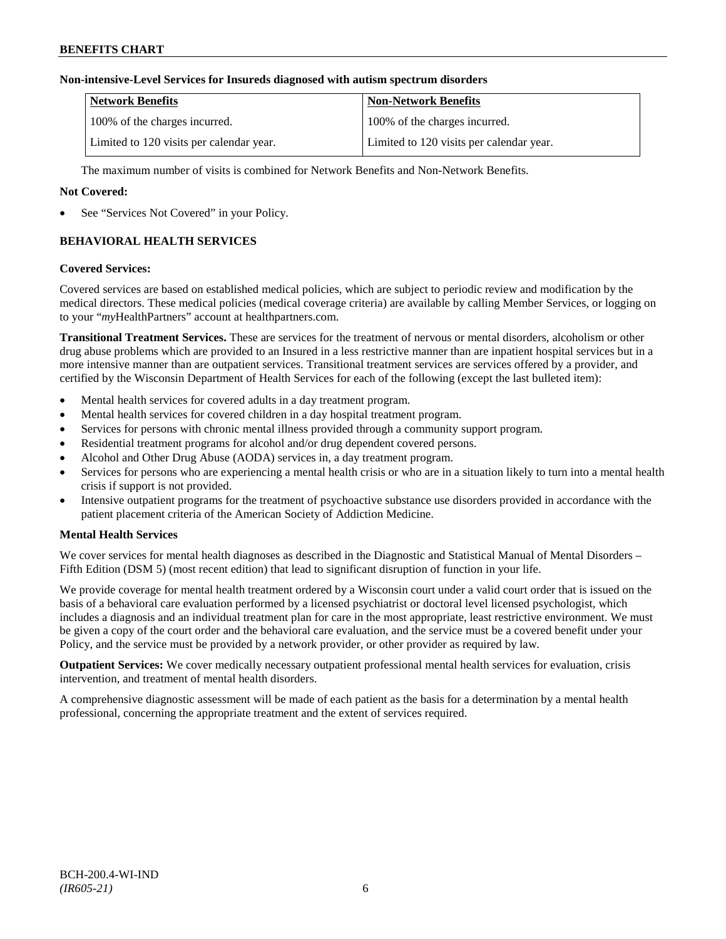# **Non-intensive-Level Services for Insureds diagnosed with autism spectrum disorders**

| Network Benefits                         | <b>Non-Network Benefits</b>              |
|------------------------------------------|------------------------------------------|
| 100% of the charges incurred.            | 100% of the charges incurred.            |
| Limited to 120 visits per calendar year. | Limited to 120 visits per calendar year. |

The maximum number of visits is combined for Network Benefits and Non-Network Benefits.

# **Not Covered:**

See "Services Not Covered" in your Policy.

# **BEHAVIORAL HEALTH SERVICES**

### **Covered Services:**

Covered services are based on established medical policies, which are subject to periodic review and modification by the medical directors. These medical policies (medical coverage criteria) are available by calling Member Services, or logging on to your "*my*HealthPartners" account at [healthpartners.com.](http://www.healthpartners.com/)

**Transitional Treatment Services.** These are services for the treatment of nervous or mental disorders, alcoholism or other drug abuse problems which are provided to an Insured in a less restrictive manner than are inpatient hospital services but in a more intensive manner than are outpatient services. Transitional treatment services are services offered by a provider, and certified by the Wisconsin Department of Health Services for each of the following (except the last bulleted item):

- Mental health services for covered adults in a day treatment program.
- Mental health services for covered children in a day hospital treatment program.
- Services for persons with chronic mental illness provided through a community support program.
- Residential treatment programs for alcohol and/or drug dependent covered persons.
- Alcohol and Other Drug Abuse (AODA) services in, a day treatment program.
- Services for persons who are experiencing a mental health crisis or who are in a situation likely to turn into a mental health crisis if support is not provided.
- Intensive outpatient programs for the treatment of psychoactive substance use disorders provided in accordance with the patient placement criteria of the American Society of Addiction Medicine.

# **Mental Health Services**

We cover services for mental health diagnoses as described in the Diagnostic and Statistical Manual of Mental Disorders – Fifth Edition (DSM 5) (most recent edition) that lead to significant disruption of function in your life.

We provide coverage for mental health treatment ordered by a Wisconsin court under a valid court order that is issued on the basis of a behavioral care evaluation performed by a licensed psychiatrist or doctoral level licensed psychologist, which includes a diagnosis and an individual treatment plan for care in the most appropriate, least restrictive environment. We must be given a copy of the court order and the behavioral care evaluation, and the service must be a covered benefit under your Policy, and the service must be provided by a network provider, or other provider as required by law.

**Outpatient Services:** We cover medically necessary outpatient professional mental health services for evaluation, crisis intervention, and treatment of mental health disorders.

A comprehensive diagnostic assessment will be made of each patient as the basis for a determination by a mental health professional, concerning the appropriate treatment and the extent of services required.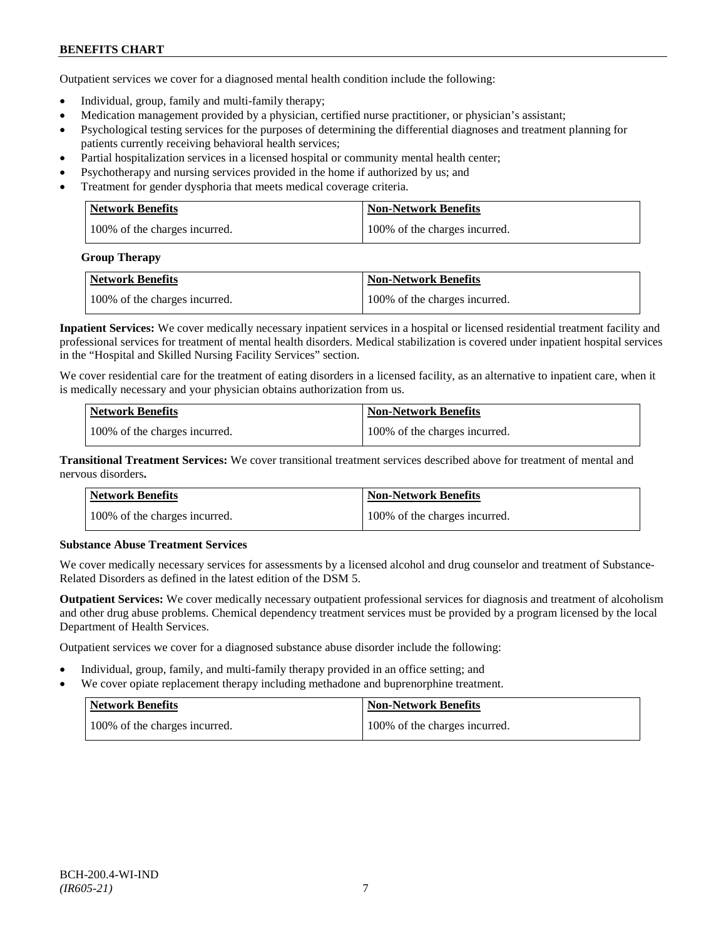Outpatient services we cover for a diagnosed mental health condition include the following:

- Individual, group, family and multi-family therapy;
- Medication management provided by a physician, certified nurse practitioner, or physician's assistant;
- Psychological testing services for the purposes of determining the differential diagnoses and treatment planning for patients currently receiving behavioral health services;
- Partial hospitalization services in a licensed hospital or community mental health center;
- Psychotherapy and nursing services provided in the home if authorized by us; and
- Treatment for gender dysphoria that meets medical coverage criteria.

| <b>Network Benefits</b>       | Non-Network Benefits          |
|-------------------------------|-------------------------------|
| 100% of the charges incurred. | 100% of the charges incurred. |

#### **Group Therapy**

| Network Benefits              | <b>Non-Network Benefits</b>   |
|-------------------------------|-------------------------------|
| 100% of the charges incurred. | 100% of the charges incurred. |

**Inpatient Services:** We cover medically necessary inpatient services in a hospital or licensed residential treatment facility and professional services for treatment of mental health disorders. Medical stabilization is covered under inpatient hospital services in the "Hospital and Skilled Nursing Facility Services" section.

We cover residential care for the treatment of eating disorders in a licensed facility, as an alternative to inpatient care, when it is medically necessary and your physician obtains authorization from us.

| <b>Network Benefits</b>       | <b>Non-Network Benefits</b>   |
|-------------------------------|-------------------------------|
| 100% of the charges incurred. | 100% of the charges incurred. |

**Transitional Treatment Services:** We cover transitional treatment services described above for treatment of mental and nervous disorders**.**

| <b>Network Benefits</b>       | <b>Non-Network Benefits</b>   |
|-------------------------------|-------------------------------|
| 100% of the charges incurred. | 100% of the charges incurred. |

# **Substance Abuse Treatment Services**

We cover medically necessary services for assessments by a licensed alcohol and drug counselor and treatment of Substance-Related Disorders as defined in the latest edition of the DSM 5.

**Outpatient Services:** We cover medically necessary outpatient professional services for diagnosis and treatment of alcoholism and other drug abuse problems. Chemical dependency treatment services must be provided by a program licensed by the local Department of Health Services.

Outpatient services we cover for a diagnosed substance abuse disorder include the following:

- Individual, group, family, and multi-family therapy provided in an office setting; and
- We cover opiate replacement therapy including methadone and buprenorphine treatment.

| Network Benefits              | Non-Network Benefits          |
|-------------------------------|-------------------------------|
| 100% of the charges incurred. | 100% of the charges incurred. |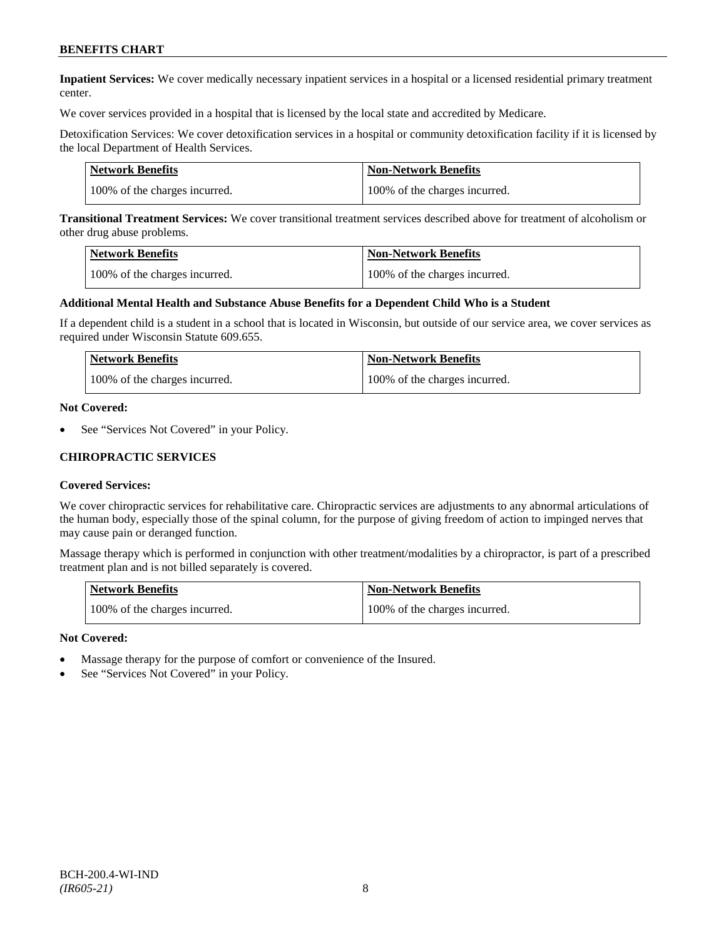**Inpatient Services:** We cover medically necessary inpatient services in a hospital or a licensed residential primary treatment center.

We cover services provided in a hospital that is licensed by the local state and accredited by Medicare.

Detoxification Services: We cover detoxification services in a hospital or community detoxification facility if it is licensed by the local Department of Health Services.

| <b>Network Benefits</b>       | <b>Non-Network Benefits</b>   |
|-------------------------------|-------------------------------|
| 100% of the charges incurred. | 100% of the charges incurred. |

**Transitional Treatment Services:** We cover transitional treatment services described above for treatment of alcoholism or other drug abuse problems.

| <b>Network Benefits</b>       | <b>Non-Network Benefits</b>   |
|-------------------------------|-------------------------------|
| 100% of the charges incurred. | 100% of the charges incurred. |

#### **Additional Mental Health and Substance Abuse Benefits for a Dependent Child Who is a Student**

If a dependent child is a student in a school that is located in Wisconsin, but outside of our service area, we cover services as required under Wisconsin Statute 609.655.

| Network Benefits              | <b>Non-Network Benefits</b>   |
|-------------------------------|-------------------------------|
| 100% of the charges incurred. | 100% of the charges incurred. |

#### **Not Covered:**

See "Services Not Covered" in your Policy.

### **CHIROPRACTIC SERVICES**

#### **Covered Services:**

We cover chiropractic services for rehabilitative care. Chiropractic services are adjustments to any abnormal articulations of the human body, especially those of the spinal column, for the purpose of giving freedom of action to impinged nerves that may cause pain or deranged function.

Massage therapy which is performed in conjunction with other treatment/modalities by a chiropractor, is part of a prescribed treatment plan and is not billed separately is covered.

| <b>Network Benefits</b>       | <b>Non-Network Benefits</b>   |
|-------------------------------|-------------------------------|
| 100% of the charges incurred. | 100% of the charges incurred. |

#### **Not Covered:**

- Massage therapy for the purpose of comfort or convenience of the Insured.
- See "Services Not Covered" in your Policy.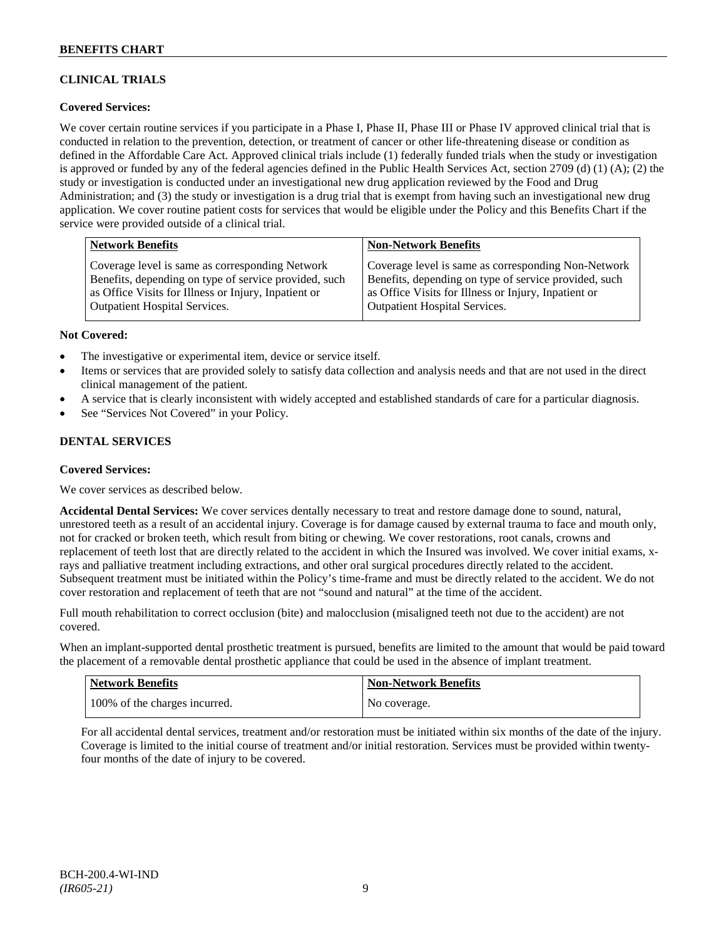# **CLINICAL TRIALS**

# **Covered Services:**

We cover certain routine services if you participate in a Phase I, Phase II, Phase III or Phase IV approved clinical trial that is conducted in relation to the prevention, detection, or treatment of cancer or other life-threatening disease or condition as defined in the Affordable Care Act. Approved clinical trials include (1) federally funded trials when the study or investigation is approved or funded by any of the federal agencies defined in the Public Health Services Act, section 2709 (d) (1) (A); (2) the study or investigation is conducted under an investigational new drug application reviewed by the Food and Drug Administration; and (3) the study or investigation is a drug trial that is exempt from having such an investigational new drug application. We cover routine patient costs for services that would be eligible under the Policy and this Benefits Chart if the service were provided outside of a clinical trial.

| <b>Network Benefits</b>                               | <b>Non-Network Benefits</b>                           |
|-------------------------------------------------------|-------------------------------------------------------|
| Coverage level is same as corresponding Network       | Coverage level is same as corresponding Non-Network   |
| Benefits, depending on type of service provided, such | Benefits, depending on type of service provided, such |
| as Office Visits for Illness or Injury, Inpatient or  | as Office Visits for Illness or Injury, Inpatient or  |
| <b>Outpatient Hospital Services.</b>                  | <b>Outpatient Hospital Services.</b>                  |

### **Not Covered:**

- The investigative or experimental item, device or service itself.
- Items or services that are provided solely to satisfy data collection and analysis needs and that are not used in the direct clinical management of the patient.
- A service that is clearly inconsistent with widely accepted and established standards of care for a particular diagnosis.
- See "Services Not Covered" in your Policy.

# **DENTAL SERVICES**

#### **Covered Services:**

We cover services as described below.

**Accidental Dental Services:** We cover services dentally necessary to treat and restore damage done to sound, natural, unrestored teeth as a result of an accidental injury. Coverage is for damage caused by external trauma to face and mouth only, not for cracked or broken teeth, which result from biting or chewing. We cover restorations, root canals, crowns and replacement of teeth lost that are directly related to the accident in which the Insured was involved. We cover initial exams, xrays and palliative treatment including extractions, and other oral surgical procedures directly related to the accident. Subsequent treatment must be initiated within the Policy's time-frame and must be directly related to the accident. We do not cover restoration and replacement of teeth that are not "sound and natural" at the time of the accident.

Full mouth rehabilitation to correct occlusion (bite) and malocclusion (misaligned teeth not due to the accident) are not covered.

When an implant-supported dental prosthetic treatment is pursued, benefits are limited to the amount that would be paid toward the placement of a removable dental prosthetic appliance that could be used in the absence of implant treatment.

| Network Benefits              | <b>Non-Network Benefits</b> |
|-------------------------------|-----------------------------|
| 100% of the charges incurred. | No coverage.                |

For all accidental dental services, treatment and/or restoration must be initiated within six months of the date of the injury. Coverage is limited to the initial course of treatment and/or initial restoration. Services must be provided within twentyfour months of the date of injury to be covered.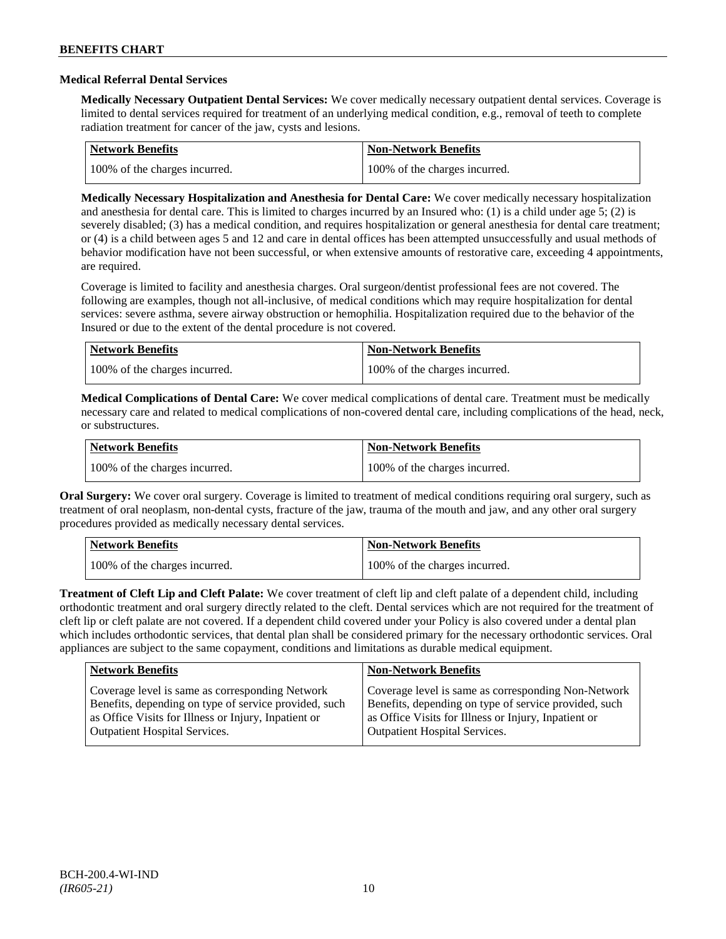### **Medical Referral Dental Services**

**Medically Necessary Outpatient Dental Services:** We cover medically necessary outpatient dental services. Coverage is limited to dental services required for treatment of an underlying medical condition, e.g., removal of teeth to complete radiation treatment for cancer of the jaw, cysts and lesions.

| Network Benefits              | Non-Network Benefits          |
|-------------------------------|-------------------------------|
| 100% of the charges incurred. | 100% of the charges incurred. |

**Medically Necessary Hospitalization and Anesthesia for Dental Care:** We cover medically necessary hospitalization and anesthesia for dental care. This is limited to charges incurred by an Insured who: (1) is a child under age 5; (2) is severely disabled; (3) has a medical condition, and requires hospitalization or general anesthesia for dental care treatment; or (4) is a child between ages 5 and 12 and care in dental offices has been attempted unsuccessfully and usual methods of behavior modification have not been successful, or when extensive amounts of restorative care, exceeding 4 appointments, are required.

Coverage is limited to facility and anesthesia charges. Oral surgeon/dentist professional fees are not covered. The following are examples, though not all-inclusive, of medical conditions which may require hospitalization for dental services: severe asthma, severe airway obstruction or hemophilia. Hospitalization required due to the behavior of the Insured or due to the extent of the dental procedure is not covered.

| Network Benefits              | <b>Non-Network Benefits</b>   |
|-------------------------------|-------------------------------|
| 100% of the charges incurred. | 100% of the charges incurred. |

**Medical Complications of Dental Care:** We cover medical complications of dental care. Treatment must be medically necessary care and related to medical complications of non-covered dental care, including complications of the head, neck, or substructures.

| Network Benefits              | <b>Non-Network Benefits</b>   |
|-------------------------------|-------------------------------|
| 100% of the charges incurred. | 100% of the charges incurred. |

**Oral Surgery:** We cover oral surgery. Coverage is limited to treatment of medical conditions requiring oral surgery, such as treatment of oral neoplasm, non-dental cysts, fracture of the jaw, trauma of the mouth and jaw, and any other oral surgery procedures provided as medically necessary dental services.

| Network Benefits              | <b>Non-Network Benefits</b>   |
|-------------------------------|-------------------------------|
| 100% of the charges incurred. | 100% of the charges incurred. |

**Treatment of Cleft Lip and Cleft Palate:** We cover treatment of cleft lip and cleft palate of a dependent child, including orthodontic treatment and oral surgery directly related to the cleft. Dental services which are not required for the treatment of cleft lip or cleft palate are not covered. If a dependent child covered under your Policy is also covered under a dental plan which includes orthodontic services, that dental plan shall be considered primary for the necessary orthodontic services. Oral appliances are subject to the same copayment, conditions and limitations as durable medical equipment.

| <b>Network Benefits</b>                               | <b>Non-Network Benefits</b>                           |
|-------------------------------------------------------|-------------------------------------------------------|
| Coverage level is same as corresponding Network       | Coverage level is same as corresponding Non-Network   |
| Benefits, depending on type of service provided, such | Benefits, depending on type of service provided, such |
| as Office Visits for Illness or Injury, Inpatient or  | as Office Visits for Illness or Injury, Inpatient or  |
| <b>Outpatient Hospital Services.</b>                  | Outpatient Hospital Services.                         |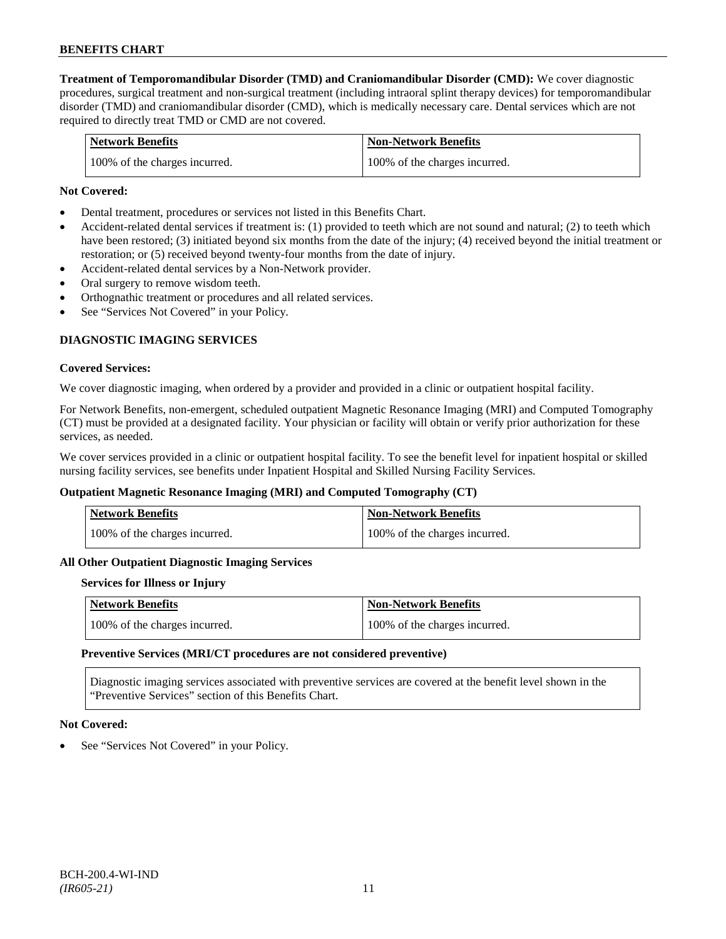**Treatment of Temporomandibular Disorder (TMD) and Craniomandibular Disorder (CMD):** We cover diagnostic procedures, surgical treatment and non-surgical treatment (including intraoral splint therapy devices) for temporomandibular disorder (TMD) and craniomandibular disorder (CMD), which is medically necessary care. Dental services which are not required to directly treat TMD or CMD are not covered.

| <b>Network Benefits</b>       | <b>Non-Network Benefits</b>   |
|-------------------------------|-------------------------------|
| 100% of the charges incurred. | 100% of the charges incurred. |

### **Not Covered:**

- Dental treatment, procedures or services not listed in this Benefits Chart.
- Accident-related dental services if treatment is: (1) provided to teeth which are not sound and natural; (2) to teeth which have been restored; (3) initiated beyond six months from the date of the injury; (4) received beyond the initial treatment or restoration; or (5) received beyond twenty-four months from the date of injury.
- Accident-related dental services by a Non-Network provider.
- Oral surgery to remove wisdom teeth.
- Orthognathic treatment or procedures and all related services.
- See "Services Not Covered" in your Policy.

# **DIAGNOSTIC IMAGING SERVICES**

#### **Covered Services:**

We cover diagnostic imaging, when ordered by a provider and provided in a clinic or outpatient hospital facility.

For Network Benefits, non-emergent, scheduled outpatient Magnetic Resonance Imaging (MRI) and Computed Tomography (CT) must be provided at a designated facility. Your physician or facility will obtain or verify prior authorization for these services, as needed.

We cover services provided in a clinic or outpatient hospital facility. To see the benefit level for inpatient hospital or skilled nursing facility services, see benefits under Inpatient Hospital and Skilled Nursing Facility Services.

#### **Outpatient Magnetic Resonance Imaging (MRI) and Computed Tomography (CT)**

| <b>Network Benefits</b>       | <b>Non-Network Benefits</b>   |
|-------------------------------|-------------------------------|
| 100% of the charges incurred. | 100% of the charges incurred. |

#### **All Other Outpatient Diagnostic Imaging Services**

#### **Services for Illness or Injury**

| Network Benefits              | <b>Non-Network Benefits</b>   |
|-------------------------------|-------------------------------|
| 100% of the charges incurred. | 100% of the charges incurred. |

#### **Preventive Services (MRI/CT procedures are not considered preventive)**

Diagnostic imaging services associated with preventive services are covered at the benefit level shown in the "Preventive Services" section of this Benefits Chart.

#### **Not Covered:**

See "Services Not Covered" in your Policy.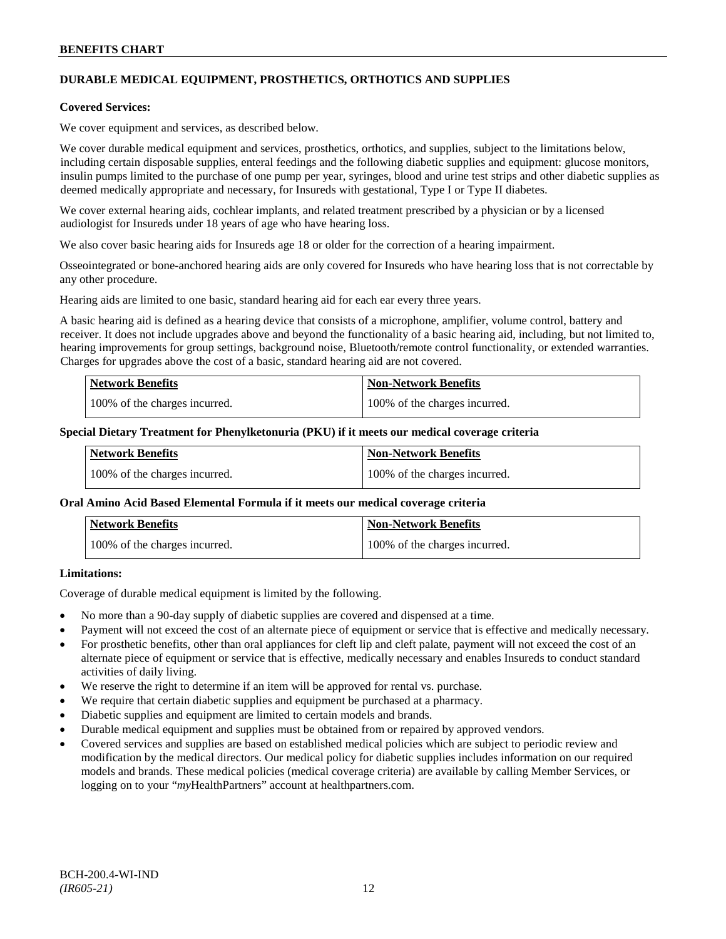# **DURABLE MEDICAL EQUIPMENT, PROSTHETICS, ORTHOTICS AND SUPPLIES**

#### **Covered Services:**

We cover equipment and services, as described below.

We cover durable medical equipment and services, prosthetics, orthotics, and supplies, subject to the limitations below, including certain disposable supplies, enteral feedings and the following diabetic supplies and equipment: glucose monitors, insulin pumps limited to the purchase of one pump per year, syringes, blood and urine test strips and other diabetic supplies as deemed medically appropriate and necessary, for Insureds with gestational, Type I or Type II diabetes.

We cover external hearing aids, cochlear implants, and related treatment prescribed by a physician or by a licensed audiologist for Insureds under 18 years of age who have hearing loss.

We also cover basic hearing aids for Insureds age 18 or older for the correction of a hearing impairment.

Osseointegrated or bone-anchored hearing aids are only covered for Insureds who have hearing loss that is not correctable by any other procedure.

Hearing aids are limited to one basic, standard hearing aid for each ear every three years.

A basic hearing aid is defined as a hearing device that consists of a microphone, amplifier, volume control, battery and receiver. It does not include upgrades above and beyond the functionality of a basic hearing aid, including, but not limited to, hearing improvements for group settings, background noise, Bluetooth/remote control functionality, or extended warranties. Charges for upgrades above the cost of a basic, standard hearing aid are not covered.

| <b>Network Benefits</b>       | <b>Non-Network Benefits</b>   |
|-------------------------------|-------------------------------|
| 100% of the charges incurred. | 100% of the charges incurred. |

#### **Special Dietary Treatment for Phenylketonuria (PKU) if it meets our medical coverage criteria**

| <b>Network Benefits</b>       | <b>Non-Network Benefits</b>   |
|-------------------------------|-------------------------------|
| 100% of the charges incurred. | 100% of the charges incurred. |

#### **Oral Amino Acid Based Elemental Formula if it meets our medical coverage criteria**

| <b>Network Benefits</b>       | <b>Non-Network Benefits</b>   |
|-------------------------------|-------------------------------|
| 100% of the charges incurred. | 100% of the charges incurred. |

# **Limitations:**

Coverage of durable medical equipment is limited by the following.

- No more than a 90-day supply of diabetic supplies are covered and dispensed at a time.
- Payment will not exceed the cost of an alternate piece of equipment or service that is effective and medically necessary.
- For prosthetic benefits, other than oral appliances for cleft lip and cleft palate, payment will not exceed the cost of an alternate piece of equipment or service that is effective, medically necessary and enables Insureds to conduct standard activities of daily living.
- We reserve the right to determine if an item will be approved for rental vs. purchase.
- We require that certain diabetic supplies and equipment be purchased at a pharmacy.
- Diabetic supplies and equipment are limited to certain models and brands.
- Durable medical equipment and supplies must be obtained from or repaired by approved vendors.
- Covered services and supplies are based on established medical policies which are subject to periodic review and modification by the medical directors. Our medical policy for diabetic supplies includes information on our required models and brands. These medical policies (medical coverage criteria) are available by calling Member Services, or logging on to your "*my*HealthPartners" account at [healthpartners.com.](http://www.healthpartners.com/)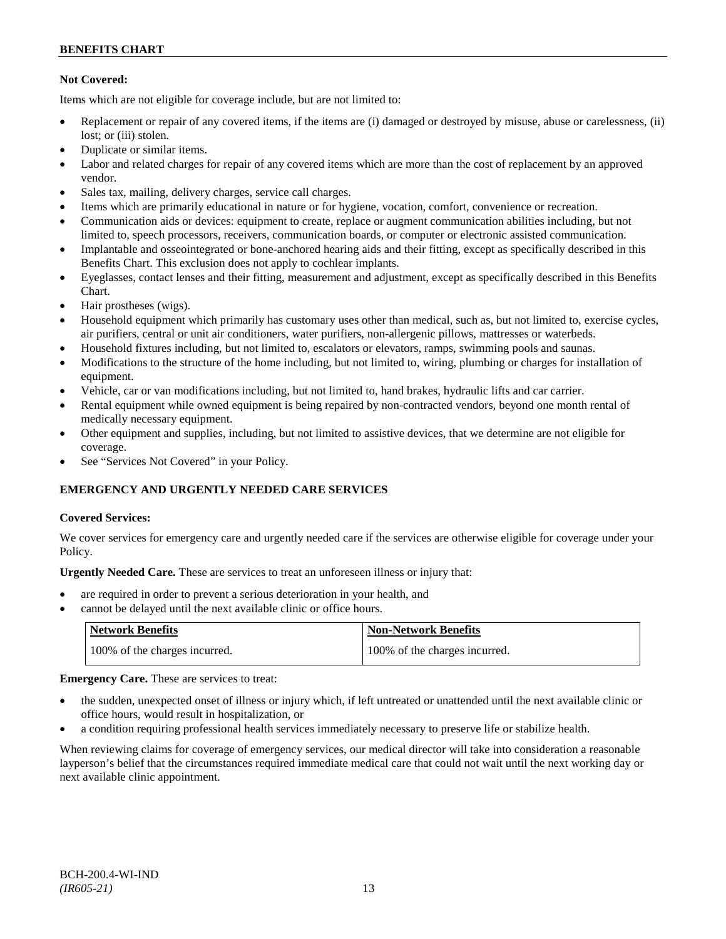# **Not Covered:**

Items which are not eligible for coverage include, but are not limited to:

- Replacement or repair of any covered items, if the items are (i) damaged or destroyed by misuse, abuse or carelessness, (ii) lost; or (iii) stolen.
- Duplicate or similar items.
- Labor and related charges for repair of any covered items which are more than the cost of replacement by an approved vendor.
- Sales tax, mailing, delivery charges, service call charges.
- Items which are primarily educational in nature or for hygiene, vocation, comfort, convenience or recreation.
- Communication aids or devices: equipment to create, replace or augment communication abilities including, but not limited to, speech processors, receivers, communication boards, or computer or electronic assisted communication.
- Implantable and osseointegrated or bone-anchored hearing aids and their fitting, except as specifically described in this Benefits Chart. This exclusion does not apply to cochlear implants.
- Eyeglasses, contact lenses and their fitting, measurement and adjustment, except as specifically described in this Benefits Chart.
- Hair prostheses (wigs).
- Household equipment which primarily has customary uses other than medical, such as, but not limited to, exercise cycles, air purifiers, central or unit air conditioners, water purifiers, non-allergenic pillows, mattresses or waterbeds.
- Household fixtures including, but not limited to, escalators or elevators, ramps, swimming pools and saunas.
- Modifications to the structure of the home including, but not limited to, wiring, plumbing or charges for installation of equipment.
- Vehicle, car or van modifications including, but not limited to, hand brakes, hydraulic lifts and car carrier.
- Rental equipment while owned equipment is being repaired by non-contracted vendors, beyond one month rental of medically necessary equipment.
- Other equipment and supplies, including, but not limited to assistive devices, that we determine are not eligible for coverage.
- See "Services Not Covered" in your Policy.

# **EMERGENCY AND URGENTLY NEEDED CARE SERVICES**

# **Covered Services:**

We cover services for emergency care and urgently needed care if the services are otherwise eligible for coverage under your Policy.

**Urgently Needed Care.** These are services to treat an unforeseen illness or injury that:

- are required in order to prevent a serious deterioration in your health, and
- cannot be delayed until the next available clinic or office hours.

| Network Benefits              | <b>Non-Network Benefits</b>   |
|-------------------------------|-------------------------------|
| 100% of the charges incurred. | 100% of the charges incurred. |

**Emergency Care.** These are services to treat:

- the sudden, unexpected onset of illness or injury which, if left untreated or unattended until the next available clinic or office hours, would result in hospitalization, or
- a condition requiring professional health services immediately necessary to preserve life or stabilize health.

When reviewing claims for coverage of emergency services, our medical director will take into consideration a reasonable layperson's belief that the circumstances required immediate medical care that could not wait until the next working day or next available clinic appointment.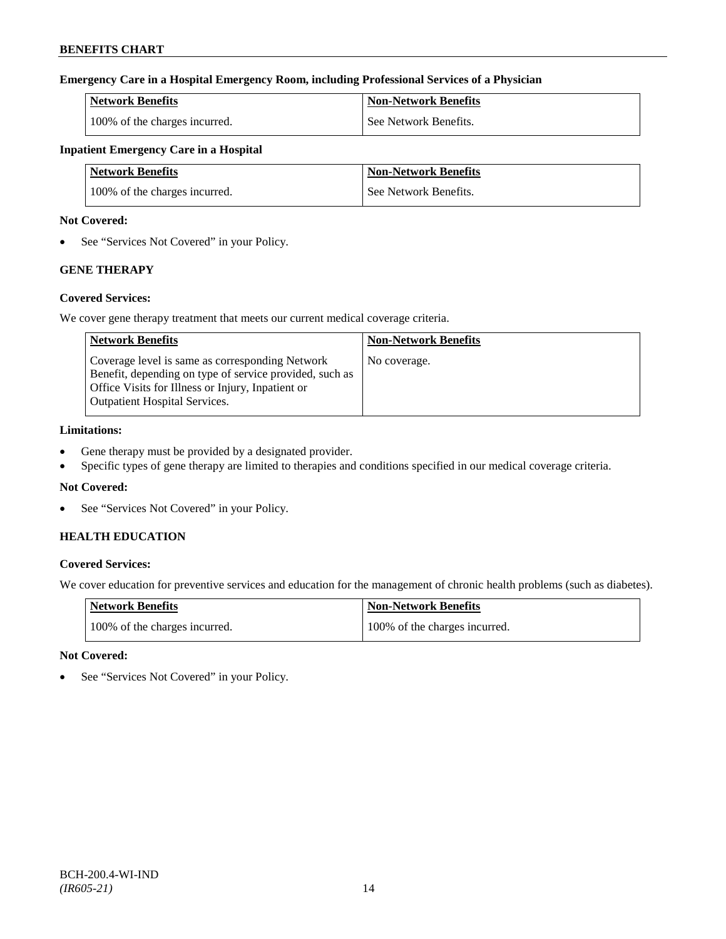# **Emergency Care in a Hospital Emergency Room, including Professional Services of a Physician**

| <b>Network Benefits</b>       | Non-Network Benefits  |
|-------------------------------|-----------------------|
| 100% of the charges incurred. | See Network Benefits. |

# **Inpatient Emergency Care in a Hospital**

| <b>Network Benefits</b>       | <b>Non-Network Benefits</b> |
|-------------------------------|-----------------------------|
| 100% of the charges incurred. | See Network Benefits.       |

### **Not Covered:**

• See "Services Not Covered" in your Policy.

# **GENE THERAPY**

# **Covered Services:**

We cover gene therapy treatment that meets our current medical coverage criteria.

| <b>Network Benefits</b>                                                                                                                                                                                 | <b>Non-Network Benefits</b> |
|---------------------------------------------------------------------------------------------------------------------------------------------------------------------------------------------------------|-----------------------------|
| Coverage level is same as corresponding Network<br>Benefit, depending on type of service provided, such as<br>Office Visits for Illness or Injury, Inpatient or<br><b>Outpatient Hospital Services.</b> | No coverage.                |

# **Limitations:**

- Gene therapy must be provided by a designated provider.
- Specific types of gene therapy are limited to therapies and conditions specified in our medical coverage criteria.

# **Not Covered:**

• See "Services Not Covered" in your Policy.

# **HEALTH EDUCATION**

# **Covered Services:**

We cover education for preventive services and education for the management of chronic health problems (such as diabetes).

| <b>Network Benefits</b>       | Non-Network Benefits          |
|-------------------------------|-------------------------------|
| 100% of the charges incurred. | 100% of the charges incurred. |

# **Not Covered:**

See "Services Not Covered" in your Policy.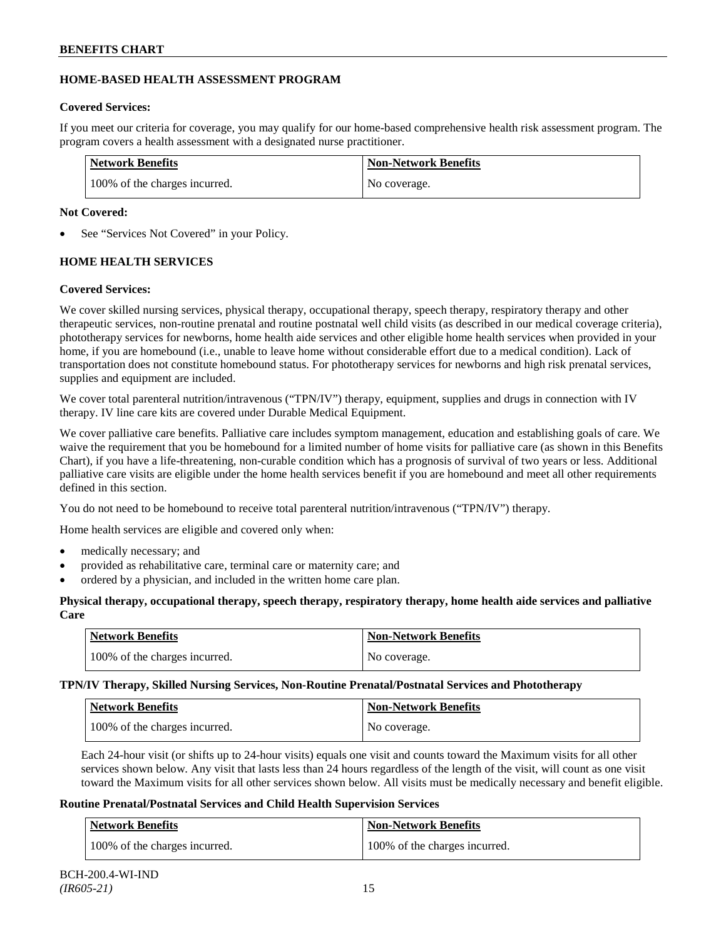# **HOME-BASED HEALTH ASSESSMENT PROGRAM**

# **Covered Services:**

If you meet our criteria for coverage, you may qualify for our home-based comprehensive health risk assessment program. The program covers a health assessment with a designated nurse practitioner.

| <b>Network Benefits</b>       | <b>Non-Network Benefits</b> |
|-------------------------------|-----------------------------|
| 100% of the charges incurred. | No coverage.                |

# **Not Covered:**

See "Services Not Covered" in your Policy.

# **HOME HEALTH SERVICES**

# **Covered Services:**

We cover skilled nursing services, physical therapy, occupational therapy, speech therapy, respiratory therapy and other therapeutic services, non-routine prenatal and routine postnatal well child visits (as described in our medical coverage criteria), phototherapy services for newborns, home health aide services and other eligible home health services when provided in your home, if you are homebound (i.e., unable to leave home without considerable effort due to a medical condition). Lack of transportation does not constitute homebound status. For phototherapy services for newborns and high risk prenatal services, supplies and equipment are included.

We cover total parenteral nutrition/intravenous ("TPN/IV") therapy, equipment, supplies and drugs in connection with IV therapy. IV line care kits are covered under Durable Medical Equipment.

We cover palliative care benefits. Palliative care includes symptom management, education and establishing goals of care. We waive the requirement that you be homebound for a limited number of home visits for palliative care (as shown in this Benefits Chart), if you have a life-threatening, non-curable condition which has a prognosis of survival of two years or less. Additional palliative care visits are eligible under the home health services benefit if you are homebound and meet all other requirements defined in this section.

You do not need to be homebound to receive total parenteral nutrition/intravenous ("TPN/IV") therapy.

Home health services are eligible and covered only when:

- medically necessary; and
- provided as rehabilitative care, terminal care or maternity care; and
- ordered by a physician, and included in the written home care plan.

# **Physical therapy, occupational therapy, speech therapy, respiratory therapy, home health aide services and palliative Care**

| Network Benefits              | <b>Non-Network Benefits</b> |
|-------------------------------|-----------------------------|
| 100% of the charges incurred. | No coverage.                |

**TPN/IV Therapy, Skilled Nursing Services, Non-Routine Prenatal/Postnatal Services and Phototherapy**

| <b>Network Benefits</b>       | <b>Non-Network Benefits</b> |
|-------------------------------|-----------------------------|
| 100% of the charges incurred. | No coverage.                |

Each 24-hour visit (or shifts up to 24-hour visits) equals one visit and counts toward the Maximum visits for all other services shown below. Any visit that lasts less than 24 hours regardless of the length of the visit, will count as one visit toward the Maximum visits for all other services shown below. All visits must be medically necessary and benefit eligible.

# **Routine Prenatal/Postnatal Services and Child Health Supervision Services**

| <b>Network Benefits</b>       | <b>Non-Network Benefits</b>   |
|-------------------------------|-------------------------------|
| 100% of the charges incurred. | 100% of the charges incurred. |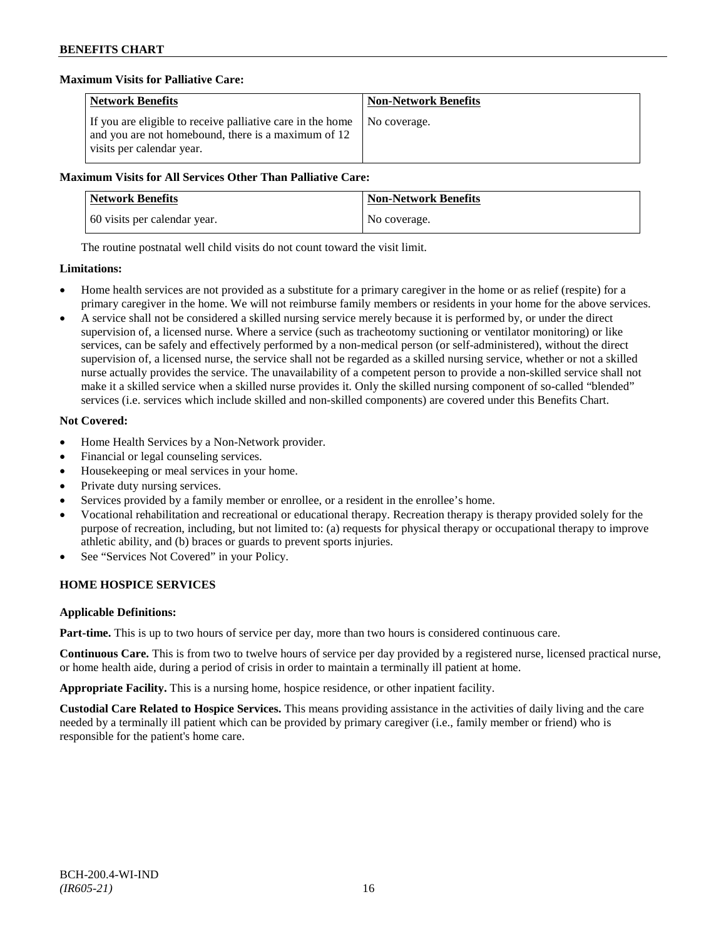# **Maximum Visits for Palliative Care:**

| <b>Network Benefits</b>                                                                                                                        | <b>Non-Network Benefits</b> |
|------------------------------------------------------------------------------------------------------------------------------------------------|-----------------------------|
| If you are eligible to receive palliative care in the home<br>and you are not homebound, there is a maximum of 12<br>visits per calendar year. | I No coverage.              |

### **Maximum Visits for All Services Other Than Palliative Care:**

| <b>Network Benefits</b>      | <b>Non-Network Benefits</b> |
|------------------------------|-----------------------------|
| 60 visits per calendar year. | No coverage.                |

The routine postnatal well child visits do not count toward the visit limit.

### **Limitations:**

- Home health services are not provided as a substitute for a primary caregiver in the home or as relief (respite) for a primary caregiver in the home. We will not reimburse family members or residents in your home for the above services.
- A service shall not be considered a skilled nursing service merely because it is performed by, or under the direct supervision of, a licensed nurse. Where a service (such as tracheotomy suctioning or ventilator monitoring) or like services, can be safely and effectively performed by a non-medical person (or self-administered), without the direct supervision of, a licensed nurse, the service shall not be regarded as a skilled nursing service, whether or not a skilled nurse actually provides the service. The unavailability of a competent person to provide a non-skilled service shall not make it a skilled service when a skilled nurse provides it. Only the skilled nursing component of so-called "blended" services (i.e. services which include skilled and non-skilled components) are covered under this Benefits Chart.

# **Not Covered:**

- Home Health Services by a Non-Network provider.
- Financial or legal counseling services.
- Housekeeping or meal services in your home.
- Private duty nursing services.
- Services provided by a family member or enrollee, or a resident in the enrollee's home.
- Vocational rehabilitation and recreational or educational therapy. Recreation therapy is therapy provided solely for the purpose of recreation, including, but not limited to: (a) requests for physical therapy or occupational therapy to improve athletic ability, and (b) braces or guards to prevent sports injuries.
- See "Services Not Covered" in your Policy.

# **HOME HOSPICE SERVICES**

# **Applicable Definitions:**

**Part-time.** This is up to two hours of service per day, more than two hours is considered continuous care.

**Continuous Care.** This is from two to twelve hours of service per day provided by a registered nurse, licensed practical nurse, or home health aide, during a period of crisis in order to maintain a terminally ill patient at home.

**Appropriate Facility.** This is a nursing home, hospice residence, or other inpatient facility.

**Custodial Care Related to Hospice Services.** This means providing assistance in the activities of daily living and the care needed by a terminally ill patient which can be provided by primary caregiver (i.e., family member or friend) who is responsible for the patient's home care.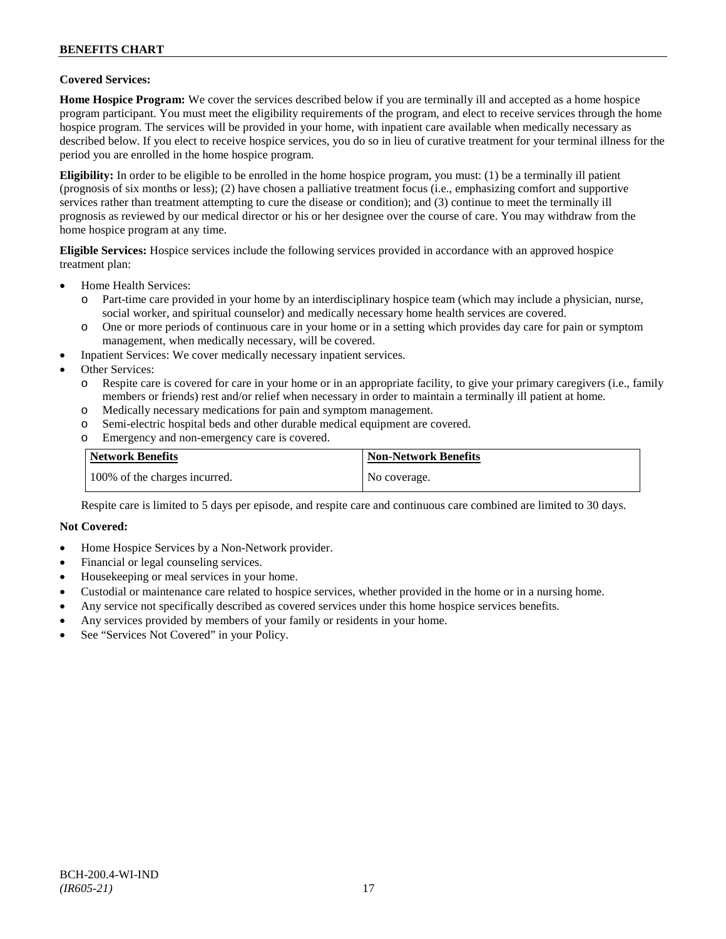### **Covered Services:**

**Home Hospice Program:** We cover the services described below if you are terminally ill and accepted as a home hospice program participant. You must meet the eligibility requirements of the program, and elect to receive services through the home hospice program. The services will be provided in your home, with inpatient care available when medically necessary as described below. If you elect to receive hospice services, you do so in lieu of curative treatment for your terminal illness for the period you are enrolled in the home hospice program.

**Eligibility:** In order to be eligible to be enrolled in the home hospice program, you must: (1) be a terminally ill patient (prognosis of six months or less); (2) have chosen a palliative treatment focus (i.e., emphasizing comfort and supportive services rather than treatment attempting to cure the disease or condition); and (3) continue to meet the terminally ill prognosis as reviewed by our medical director or his or her designee over the course of care. You may withdraw from the home hospice program at any time.

**Eligible Services:** Hospice services include the following services provided in accordance with an approved hospice treatment plan:

- Home Health Services:
	- o Part-time care provided in your home by an interdisciplinary hospice team (which may include a physician, nurse, social worker, and spiritual counselor) and medically necessary home health services are covered.
	- o One or more periods of continuous care in your home or in a setting which provides day care for pain or symptom management, when medically necessary, will be covered.
- Inpatient Services: We cover medically necessary inpatient services.
- Other Services:
	- o Respite care is covered for care in your home or in an appropriate facility, to give your primary caregivers (i.e., family members or friends) rest and/or relief when necessary in order to maintain a terminally ill patient at home*.*
	- o Medically necessary medications for pain and symptom management.
	- o Semi-electric hospital beds and other durable medical equipment are covered.
	- o Emergency and non-emergency care is covered.

| <b>Network Benefits</b>       | <b>Non-Network Benefits</b> |
|-------------------------------|-----------------------------|
| 100% of the charges incurred. | No coverage.                |

Respite care is limited to 5 days per episode, and respite care and continuous care combined are limited to 30 days.

#### **Not Covered:**

- Home Hospice Services by a Non-Network provider.
- Financial or legal counseling services.
- Housekeeping or meal services in your home.
- Custodial or maintenance care related to hospice services, whether provided in the home or in a nursing home.
- Any service not specifically described as covered services under this home hospice services benefits.
- Any services provided by members of your family or residents in your home.
- See "Services Not Covered" in your Policy.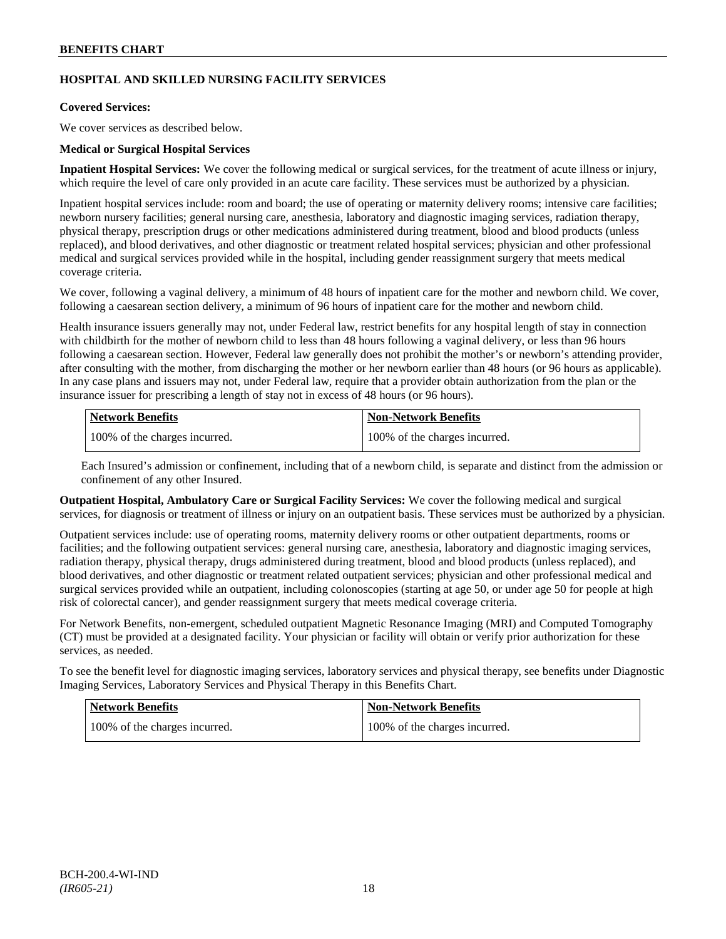# **HOSPITAL AND SKILLED NURSING FACILITY SERVICES**

### **Covered Services:**

We cover services as described below.

### **Medical or Surgical Hospital Services**

**Inpatient Hospital Services:** We cover the following medical or surgical services, for the treatment of acute illness or injury, which require the level of care only provided in an acute care facility. These services must be authorized by a physician.

Inpatient hospital services include: room and board; the use of operating or maternity delivery rooms; intensive care facilities; newborn nursery facilities; general nursing care, anesthesia, laboratory and diagnostic imaging services, radiation therapy, physical therapy, prescription drugs or other medications administered during treatment, blood and blood products (unless replaced), and blood derivatives, and other diagnostic or treatment related hospital services; physician and other professional medical and surgical services provided while in the hospital, including gender reassignment surgery that meets medical coverage criteria.

We cover, following a vaginal delivery, a minimum of 48 hours of inpatient care for the mother and newborn child. We cover, following a caesarean section delivery, a minimum of 96 hours of inpatient care for the mother and newborn child.

Health insurance issuers generally may not, under Federal law, restrict benefits for any hospital length of stay in connection with childbirth for the mother of newborn child to less than 48 hours following a vaginal delivery, or less than 96 hours following a caesarean section. However, Federal law generally does not prohibit the mother's or newborn's attending provider, after consulting with the mother, from discharging the mother or her newborn earlier than 48 hours (or 96 hours as applicable). In any case plans and issuers may not, under Federal law, require that a provider obtain authorization from the plan or the insurance issuer for prescribing a length of stay not in excess of 48 hours (or 96 hours).

| <b>Network Benefits</b>       | Non-Network Benefits          |
|-------------------------------|-------------------------------|
| 100% of the charges incurred. | 100% of the charges incurred. |

Each Insured's admission or confinement, including that of a newborn child, is separate and distinct from the admission or confinement of any other Insured.

**Outpatient Hospital, Ambulatory Care or Surgical Facility Services:** We cover the following medical and surgical services, for diagnosis or treatment of illness or injury on an outpatient basis. These services must be authorized by a physician.

Outpatient services include: use of operating rooms, maternity delivery rooms or other outpatient departments, rooms or facilities; and the following outpatient services: general nursing care, anesthesia, laboratory and diagnostic imaging services, radiation therapy, physical therapy, drugs administered during treatment, blood and blood products (unless replaced), and blood derivatives, and other diagnostic or treatment related outpatient services; physician and other professional medical and surgical services provided while an outpatient, including colonoscopies (starting at age 50, or under age 50 for people at high risk of colorectal cancer), and gender reassignment surgery that meets medical coverage criteria.

For Network Benefits, non-emergent, scheduled outpatient Magnetic Resonance Imaging (MRI) and Computed Tomography (CT) must be provided at a designated facility. Your physician or facility will obtain or verify prior authorization for these services, as needed.

To see the benefit level for diagnostic imaging services, laboratory services and physical therapy, see benefits under Diagnostic Imaging Services, Laboratory Services and Physical Therapy in this Benefits Chart.

| <b>Network Benefits</b>       | <b>Non-Network Benefits</b>   |
|-------------------------------|-------------------------------|
| 100% of the charges incurred. | 100% of the charges incurred. |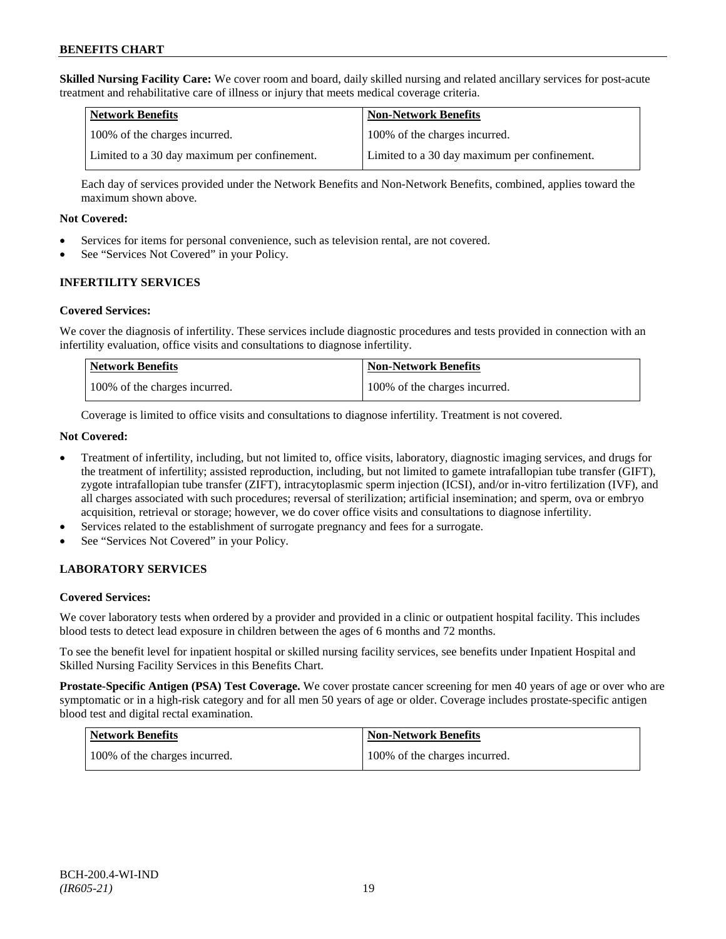**Skilled Nursing Facility Care:** We cover room and board, daily skilled nursing and related ancillary services for post-acute treatment and rehabilitative care of illness or injury that meets medical coverage criteria.

| Network Benefits                             | <b>Non-Network Benefits</b>                  |
|----------------------------------------------|----------------------------------------------|
| 100% of the charges incurred.                | 100% of the charges incurred.                |
| Limited to a 30 day maximum per confinement. | Limited to a 30 day maximum per confinement. |

Each day of services provided under the Network Benefits and Non-Network Benefits, combined, applies toward the maximum shown above.

### **Not Covered:**

- Services for items for personal convenience, such as television rental, are not covered.
- See "Services Not Covered" in your Policy.

# **INFERTILITY SERVICES**

### **Covered Services:**

We cover the diagnosis of infertility. These services include diagnostic procedures and tests provided in connection with an infertility evaluation, office visits and consultations to diagnose infertility.

| <b>Network Benefits</b>       | Non-Network Benefits          |
|-------------------------------|-------------------------------|
| 100% of the charges incurred. | 100% of the charges incurred. |

Coverage is limited to office visits and consultations to diagnose infertility. Treatment is not covered.

### **Not Covered:**

- Treatment of infertility, including, but not limited to, office visits, laboratory, diagnostic imaging services, and drugs for the treatment of infertility; assisted reproduction, including, but not limited to gamete intrafallopian tube transfer (GIFT), zygote intrafallopian tube transfer (ZIFT), intracytoplasmic sperm injection (ICSI), and/or in-vitro fertilization (IVF), and all charges associated with such procedures; reversal of sterilization; artificial insemination; and sperm, ova or embryo acquisition, retrieval or storage; however, we do cover office visits and consultations to diagnose infertility.
- Services related to the establishment of surrogate pregnancy and fees for a surrogate.
- See "Services Not Covered" in your Policy.

# **LABORATORY SERVICES**

# **Covered Services:**

We cover laboratory tests when ordered by a provider and provided in a clinic or outpatient hospital facility. This includes blood tests to detect lead exposure in children between the ages of 6 months and 72 months.

To see the benefit level for inpatient hospital or skilled nursing facility services, see benefits under Inpatient Hospital and Skilled Nursing Facility Services in this Benefits Chart.

**Prostate-Specific Antigen (PSA) Test Coverage.** We cover prostate cancer screening for men 40 years of age or over who are symptomatic or in a high-risk category and for all men 50 years of age or older. Coverage includes prostate-specific antigen blood test and digital rectal examination.

| Network Benefits              | Non-Network Benefits          |
|-------------------------------|-------------------------------|
| 100% of the charges incurred. | 100% of the charges incurred. |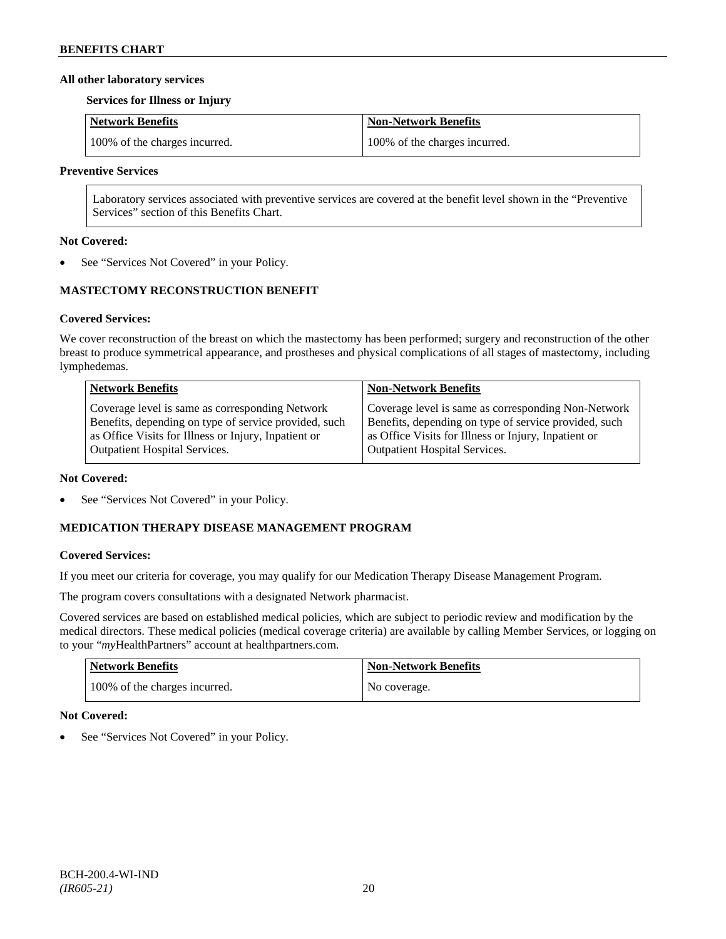### **All other laboratory services**

#### **Services for Illness or Injury**

| Network Benefits              | Non-Network Benefits          |
|-------------------------------|-------------------------------|
| 100% of the charges incurred. | 100% of the charges incurred. |

### **Preventive Services**

Laboratory services associated with preventive services are covered at the benefit level shown in the "Preventive Services" section of this Benefits Chart.

### **Not Covered:**

See "Services Not Covered" in your Policy.

# **MASTECTOMY RECONSTRUCTION BENEFIT**

# **Covered Services:**

We cover reconstruction of the breast on which the mastectomy has been performed; surgery and reconstruction of the other breast to produce symmetrical appearance, and prostheses and physical complications of all stages of mastectomy, including lymphedemas.

| <b>Network Benefits</b>                               | <b>Non-Network Benefits</b>                           |
|-------------------------------------------------------|-------------------------------------------------------|
| Coverage level is same as corresponding Network       | Coverage level is same as corresponding Non-Network   |
| Benefits, depending on type of service provided, such | Benefits, depending on type of service provided, such |
| as Office Visits for Illness or Injury, Inpatient or  | as Office Visits for Illness or Injury, Inpatient or  |
| <b>Outpatient Hospital Services.</b>                  | <b>Outpatient Hospital Services.</b>                  |

#### **Not Covered:**

See "Services Not Covered" in your Policy.

# **MEDICATION THERAPY DISEASE MANAGEMENT PROGRAM**

# **Covered Services:**

If you meet our criteria for coverage, you may qualify for our Medication Therapy Disease Management Program.

The program covers consultations with a designated Network pharmacist.

Covered services are based on established medical policies, which are subject to periodic review and modification by the medical directors. These medical policies (medical coverage criteria) are available by calling Member Services, or logging on to your "*my*HealthPartners" account at [healthpartners.com.](http://www.healthpartners.com/)

| <b>Network Benefits</b>       | <b>Non-Network Benefits</b> |
|-------------------------------|-----------------------------|
| 100% of the charges incurred. | No coverage.                |

# **Not Covered:**

See "Services Not Covered" in your Policy.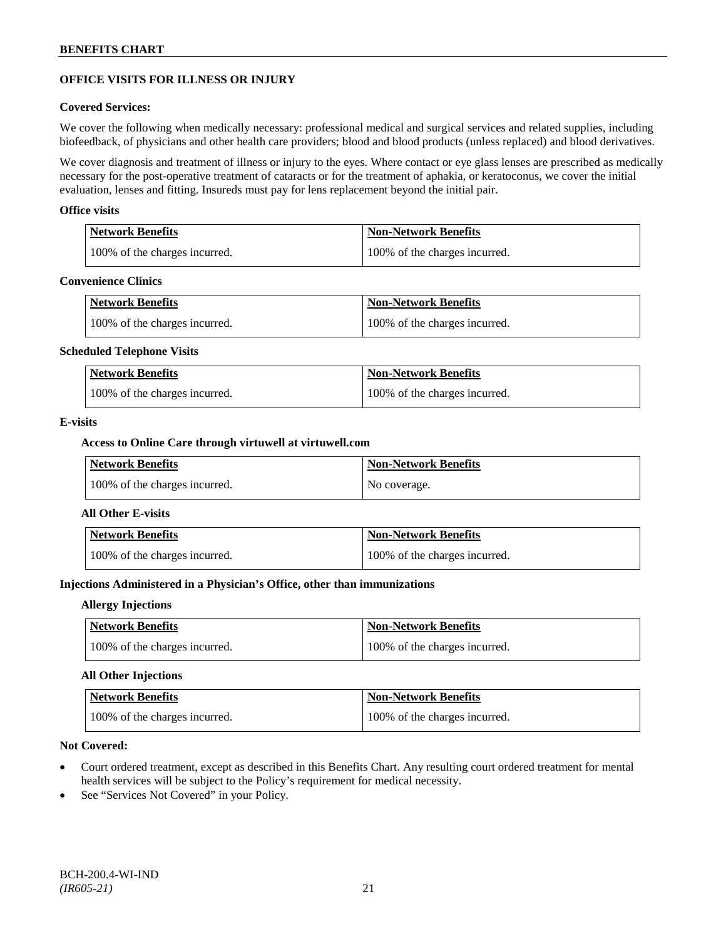# **OFFICE VISITS FOR ILLNESS OR INJURY**

### **Covered Services:**

We cover the following when medically necessary: professional medical and surgical services and related supplies, including biofeedback, of physicians and other health care providers; blood and blood products (unless replaced) and blood derivatives.

We cover diagnosis and treatment of illness or injury to the eyes. Where contact or eye glass lenses are prescribed as medically necessary for the post-operative treatment of cataracts or for the treatment of aphakia, or keratoconus, we cover the initial evaluation, lenses and fitting. Insureds must pay for lens replacement beyond the initial pair.

### **Office visits**

| Network Benefits              | <b>Non-Network Benefits</b>   |
|-------------------------------|-------------------------------|
| 100% of the charges incurred. | 100% of the charges incurred. |

#### **Convenience Clinics**

| <b>Network Benefits</b>       | <b>Non-Network Benefits</b>   |
|-------------------------------|-------------------------------|
| 100% of the charges incurred. | 100% of the charges incurred. |

#### **Scheduled Telephone Visits**

| <b>Network Benefits</b>       | <b>Non-Network Benefits</b>   |
|-------------------------------|-------------------------------|
| 100% of the charges incurred. | 100% of the charges incurred. |

### **E-visits**

### **Access to Online Care through virtuwell a[t virtuwell.com](http://www.virtuwell.com/)**

| <b>Network Benefits</b>       | <b>Non-Network Benefits</b> |
|-------------------------------|-----------------------------|
| 100% of the charges incurred. | No coverage.                |

### **All Other E-visits**

| <b>Network Benefits</b>       | Non-Network Benefits          |
|-------------------------------|-------------------------------|
| 100% of the charges incurred. | 100% of the charges incurred. |

# **Injections Administered in a Physician's Office, other than immunizations**

#### **Allergy Injections**

| Network Benefits              | <b>Non-Network Benefits</b>   |
|-------------------------------|-------------------------------|
| 100% of the charges incurred. | 100% of the charges incurred. |

# **All Other Injections**

| Network Benefits              | <b>Non-Network Benefits</b>   |
|-------------------------------|-------------------------------|
| 100% of the charges incurred. | 100% of the charges incurred. |

### **Not Covered:**

- Court ordered treatment, except as described in this Benefits Chart. Any resulting court ordered treatment for mental health services will be subject to the Policy's requirement for medical necessity.
- See "Services Not Covered" in your Policy.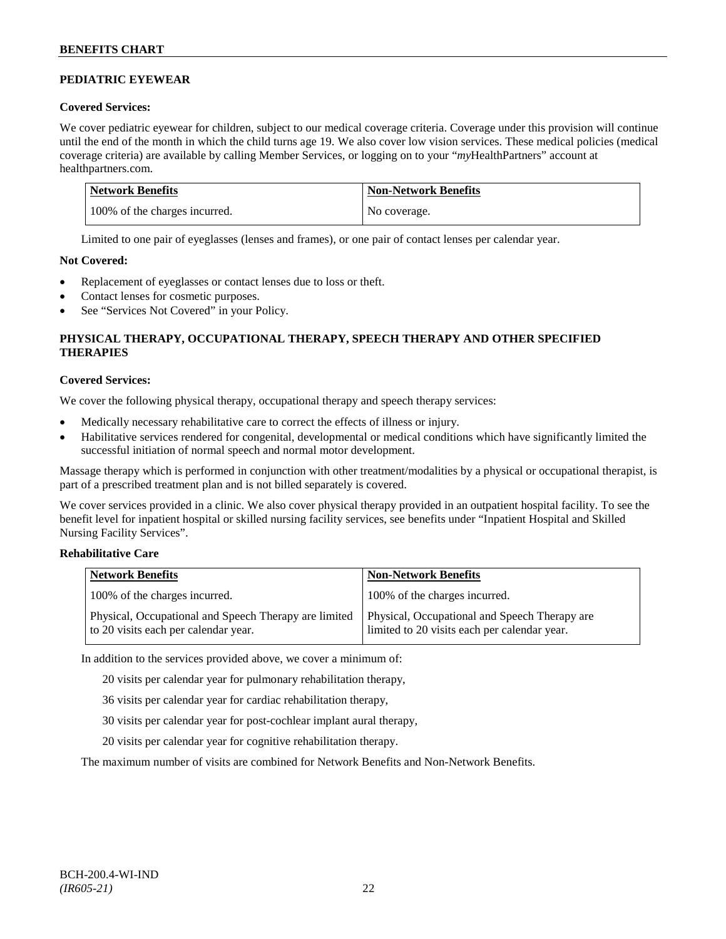# **PEDIATRIC EYEWEAR**

# **Covered Services:**

We cover pediatric eyewear for children, subject to our medical coverage criteria. Coverage under this provision will continue until the end of the month in which the child turns age 19. We also cover low vision services. These medical policies (medical coverage criteria) are available by calling Member Services, or logging on to your "*my*HealthPartners" account at [healthpartners.com.](http://www.healthpartners.com/)

| Network Benefits              | <b>Non-Network Benefits</b> |
|-------------------------------|-----------------------------|
| 100% of the charges incurred. | No coverage.                |

Limited to one pair of eyeglasses (lenses and frames), or one pair of contact lenses per calendar year.

# **Not Covered:**

- Replacement of eyeglasses or contact lenses due to loss or theft.
- Contact lenses for cosmetic purposes.
- See "Services Not Covered" in your Policy.

# **PHYSICAL THERAPY, OCCUPATIONAL THERAPY, SPEECH THERAPY AND OTHER SPECIFIED THERAPIES**

# **Covered Services:**

We cover the following physical therapy, occupational therapy and speech therapy services:

- Medically necessary rehabilitative care to correct the effects of illness or injury.
- Habilitative services rendered for congenital, developmental or medical conditions which have significantly limited the successful initiation of normal speech and normal motor development.

Massage therapy which is performed in conjunction with other treatment/modalities by a physical or occupational therapist, is part of a prescribed treatment plan and is not billed separately is covered.

We cover services provided in a clinic. We also cover physical therapy provided in an outpatient hospital facility. To see the benefit level for inpatient hospital or skilled nursing facility services, see benefits under "Inpatient Hospital and Skilled Nursing Facility Services".

# **Rehabilitative Care**

| <b>Network Benefits</b>                                                                       | <b>Non-Network Benefits</b>                                                                   |
|-----------------------------------------------------------------------------------------------|-----------------------------------------------------------------------------------------------|
| 100% of the charges incurred.                                                                 | 100% of the charges incurred.                                                                 |
| Physical, Occupational and Speech Therapy are limited<br>to 20 visits each per calendar year. | Physical, Occupational and Speech Therapy are<br>limited to 20 visits each per calendar year. |

In addition to the services provided above, we cover a minimum of:

20 visits per calendar year for pulmonary rehabilitation therapy,

- 36 visits per calendar year for cardiac rehabilitation therapy,
- 30 visits per calendar year for post-cochlear implant aural therapy,
- 20 visits per calendar year for cognitive rehabilitation therapy.

The maximum number of visits are combined for Network Benefits and Non-Network Benefits.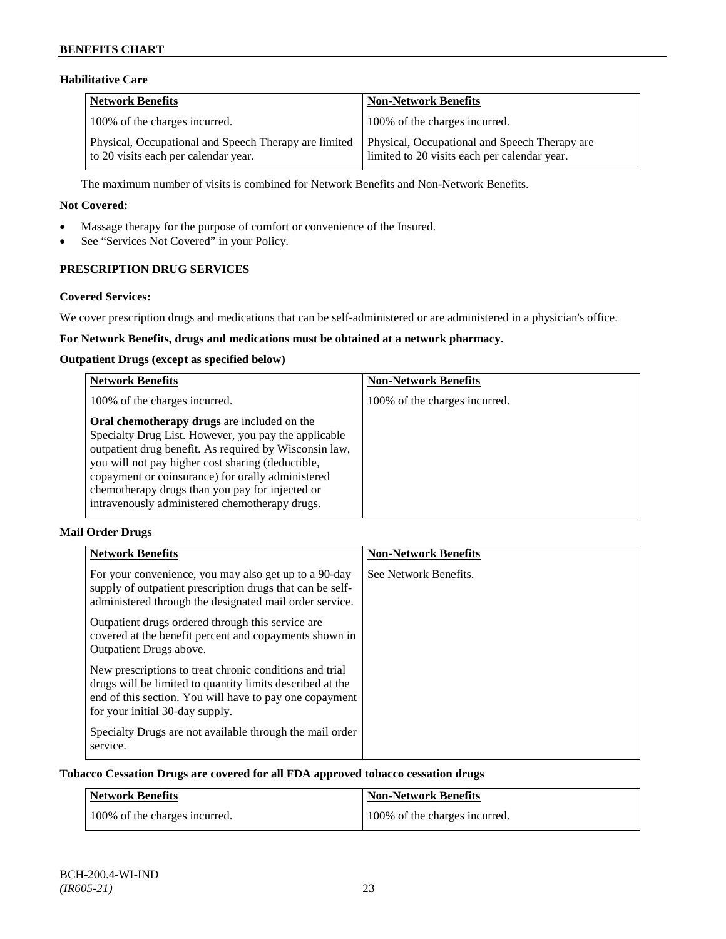# **Habilitative Care**

| Network Benefits                                                                              | <b>Non-Network Benefits</b>                                                                   |
|-----------------------------------------------------------------------------------------------|-----------------------------------------------------------------------------------------------|
| 100% of the charges incurred.                                                                 | 100% of the charges incurred.                                                                 |
| Physical, Occupational and Speech Therapy are limited<br>to 20 visits each per calendar year. | Physical, Occupational and Speech Therapy are<br>limited to 20 visits each per calendar year. |

The maximum number of visits is combined for Network Benefits and Non-Network Benefits.

### **Not Covered:**

- Massage therapy for the purpose of comfort or convenience of the Insured.
- See "Services Not Covered" in your Policy.

# **PRESCRIPTION DRUG SERVICES**

### **Covered Services:**

We cover prescription drugs and medications that can be self-administered or are administered in a physician's office.

# **For Network Benefits, drugs and medications must be obtained at a network pharmacy.**

### **Outpatient Drugs (except as specified below)**

| <b>Network Benefits</b>                                                                                                                                                                                                                                                                                                                                                      | <b>Non-Network Benefits</b>   |
|------------------------------------------------------------------------------------------------------------------------------------------------------------------------------------------------------------------------------------------------------------------------------------------------------------------------------------------------------------------------------|-------------------------------|
| 100% of the charges incurred.                                                                                                                                                                                                                                                                                                                                                | 100% of the charges incurred. |
| Oral chemotherapy drugs are included on the<br>Specialty Drug List. However, you pay the applicable<br>outpatient drug benefit. As required by Wisconsin law,<br>you will not pay higher cost sharing (deductible,<br>copayment or coinsurance) for orally administered<br>chemotherapy drugs than you pay for injected or<br>intravenously administered chemotherapy drugs. |                               |

# **Mail Order Drugs**

| <b>Network Benefits</b>                                                                                                                                                                                            | <b>Non-Network Benefits</b> |
|--------------------------------------------------------------------------------------------------------------------------------------------------------------------------------------------------------------------|-----------------------------|
| For your convenience, you may also get up to a 90-day<br>supply of outpatient prescription drugs that can be self-<br>administered through the designated mail order service.                                      | See Network Benefits.       |
| Outpatient drugs ordered through this service are.<br>covered at the benefit percent and copayments shown in<br>Outpatient Drugs above.                                                                            |                             |
| New prescriptions to treat chronic conditions and trial<br>drugs will be limited to quantity limits described at the<br>end of this section. You will have to pay one copayment<br>for your initial 30-day supply. |                             |
| Specialty Drugs are not available through the mail order<br>service.                                                                                                                                               |                             |

### **Tobacco Cessation Drugs are covered for all FDA approved tobacco cessation drugs**

| Network Benefits              | <b>Non-Network Benefits</b>   |
|-------------------------------|-------------------------------|
| 100% of the charges incurred. | 100% of the charges incurred. |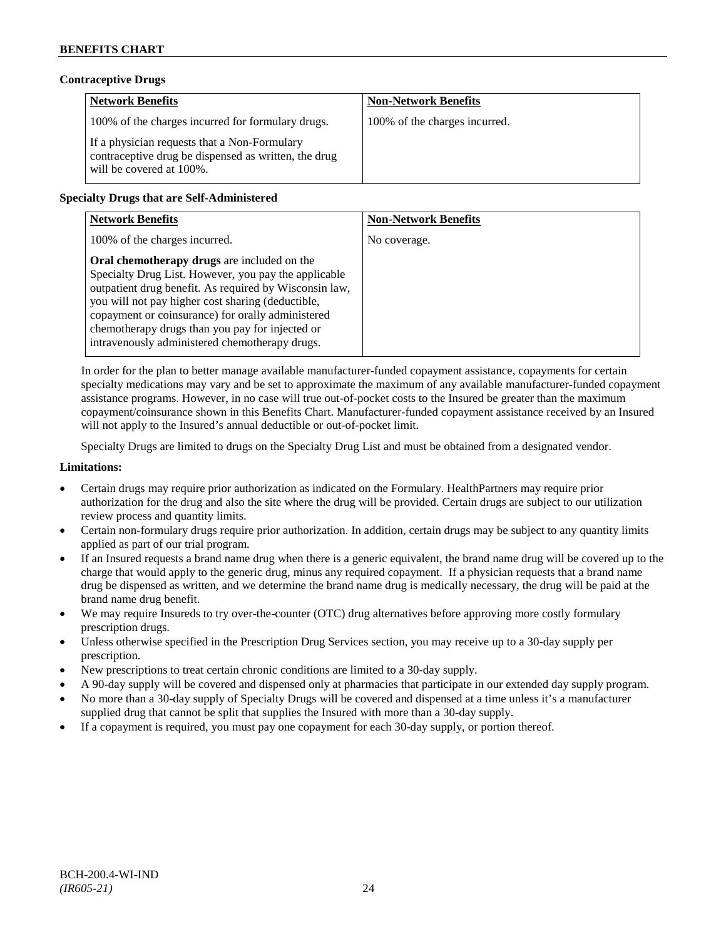# **Contraceptive Drugs**

| <b>Network Benefits</b>                                                                                                          | <b>Non-Network Benefits</b>   |
|----------------------------------------------------------------------------------------------------------------------------------|-------------------------------|
| 100% of the charges incurred for formulary drugs.                                                                                | 100% of the charges incurred. |
| If a physician requests that a Non-Formulary<br>contraceptive drug be dispensed as written, the drug<br>will be covered at 100%. |                               |

# **Specialty Drugs that are Self-Administered**

| <b>Network Benefits</b>                                                                                                                                                                                                                                                                                                                                                      | <b>Non-Network Benefits</b> |
|------------------------------------------------------------------------------------------------------------------------------------------------------------------------------------------------------------------------------------------------------------------------------------------------------------------------------------------------------------------------------|-----------------------------|
| 100% of the charges incurred.                                                                                                                                                                                                                                                                                                                                                | No coverage.                |
| Oral chemotherapy drugs are included on the<br>Specialty Drug List. However, you pay the applicable<br>outpatient drug benefit. As required by Wisconsin law,<br>you will not pay higher cost sharing (deductible,<br>copayment or coinsurance) for orally administered<br>chemotherapy drugs than you pay for injected or<br>intravenously administered chemotherapy drugs. |                             |

In order for the plan to better manage available manufacturer-funded copayment assistance, copayments for certain specialty medications may vary and be set to approximate the maximum of any available manufacturer-funded copayment assistance programs. However, in no case will true out-of-pocket costs to the Insured be greater than the maximum copayment/coinsurance shown in this Benefits Chart. Manufacturer-funded copayment assistance received by an Insured will not apply to the Insured's annual deductible or out-of-pocket limit.

Specialty Drugs are limited to drugs on the Specialty Drug List and must be obtained from a designated vendor.

### **Limitations:**

- Certain drugs may require prior authorization as indicated on the Formulary. HealthPartners may require prior authorization for the drug and also the site where the drug will be provided. Certain drugs are subject to our utilization review process and quantity limits.
- Certain non-formulary drugs require prior authorization. In addition, certain drugs may be subject to any quantity limits applied as part of our trial program.
- If an Insured requests a brand name drug when there is a generic equivalent, the brand name drug will be covered up to the charge that would apply to the generic drug, minus any required copayment. If a physician requests that a brand name drug be dispensed as written, and we determine the brand name drug is medically necessary, the drug will be paid at the brand name drug benefit.
- We may require Insureds to try over-the-counter (OTC) drug alternatives before approving more costly formulary prescription drugs.
- Unless otherwise specified in the Prescription Drug Services section, you may receive up to a 30-day supply per prescription.
- New prescriptions to treat certain chronic conditions are limited to a 30-day supply.
- A 90-day supply will be covered and dispensed only at pharmacies that participate in our extended day supply program.
- No more than a 30-day supply of Specialty Drugs will be covered and dispensed at a time unless it's a manufacturer supplied drug that cannot be split that supplies the Insured with more than a 30-day supply.
- If a copayment is required, you must pay one copayment for each 30-day supply, or portion thereof.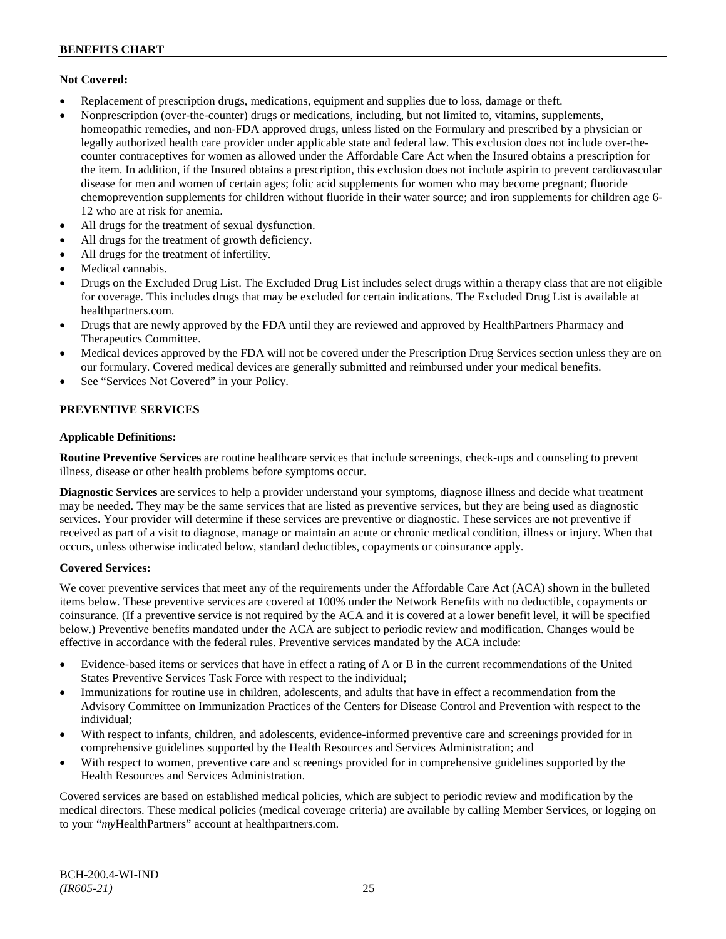### **Not Covered:**

- Replacement of prescription drugs, medications, equipment and supplies due to loss, damage or theft.
- Nonprescription (over-the-counter) drugs or medications, including, but not limited to, vitamins, supplements, homeopathic remedies, and non-FDA approved drugs, unless listed on the Formulary and prescribed by a physician or legally authorized health care provider under applicable state and federal law. This exclusion does not include over-thecounter contraceptives for women as allowed under the Affordable Care Act when the Insured obtains a prescription for the item. In addition, if the Insured obtains a prescription, this exclusion does not include aspirin to prevent cardiovascular disease for men and women of certain ages; folic acid supplements for women who may become pregnant; fluoride chemoprevention supplements for children without fluoride in their water source; and iron supplements for children age 6- 12 who are at risk for anemia.
- All drugs for the treatment of sexual dysfunction.
- All drugs for the treatment of growth deficiency.
- All drugs for the treatment of infertility.
- Medical cannabis.
- Drugs on the Excluded Drug List. The Excluded Drug List includes select drugs within a therapy class that are not eligible for coverage. This includes drugs that may be excluded for certain indications. The Excluded Drug List is available at [healthpartners.com.](http://www.healthpartners.com/)
- Drugs that are newly approved by the FDA until they are reviewed and approved by HealthPartners Pharmacy and Therapeutics Committee.
- Medical devices approved by the FDA will not be covered under the Prescription Drug Services section unless they are on our formulary. Covered medical devices are generally submitted and reimbursed under your medical benefits.
- See "Services Not Covered" in your Policy.

### **PREVENTIVE SERVICES**

### **Applicable Definitions:**

**Routine Preventive Services** are routine healthcare services that include screenings, check-ups and counseling to prevent illness, disease or other health problems before symptoms occur.

**Diagnostic Services** are services to help a provider understand your symptoms, diagnose illness and decide what treatment may be needed. They may be the same services that are listed as preventive services, but they are being used as diagnostic services. Your provider will determine if these services are preventive or diagnostic. These services are not preventive if received as part of a visit to diagnose, manage or maintain an acute or chronic medical condition, illness or injury. When that occurs, unless otherwise indicated below, standard deductibles, copayments or coinsurance apply.

#### **Covered Services:**

We cover preventive services that meet any of the requirements under the Affordable Care Act (ACA) shown in the bulleted items below. These preventive services are covered at 100% under the Network Benefits with no deductible, copayments or coinsurance. (If a preventive service is not required by the ACA and it is covered at a lower benefit level, it will be specified below.) Preventive benefits mandated under the ACA are subject to periodic review and modification. Changes would be effective in accordance with the federal rules. Preventive services mandated by the ACA include:

- Evidence-based items or services that have in effect a rating of A or B in the current recommendations of the United States Preventive Services Task Force with respect to the individual;
- Immunizations for routine use in children, adolescents, and adults that have in effect a recommendation from the Advisory Committee on Immunization Practices of the Centers for Disease Control and Prevention with respect to the individual;
- With respect to infants, children, and adolescents, evidence-informed preventive care and screenings provided for in comprehensive guidelines supported by the Health Resources and Services Administration; and
- With respect to women, preventive care and screenings provided for in comprehensive guidelines supported by the Health Resources and Services Administration.

Covered services are based on established medical policies, which are subject to periodic review and modification by the medical directors. These medical policies (medical coverage criteria) are available by calling Member Services, or logging on to your "*my*HealthPartners" account at [healthpartners.com.](http://www.healthpartners.com/)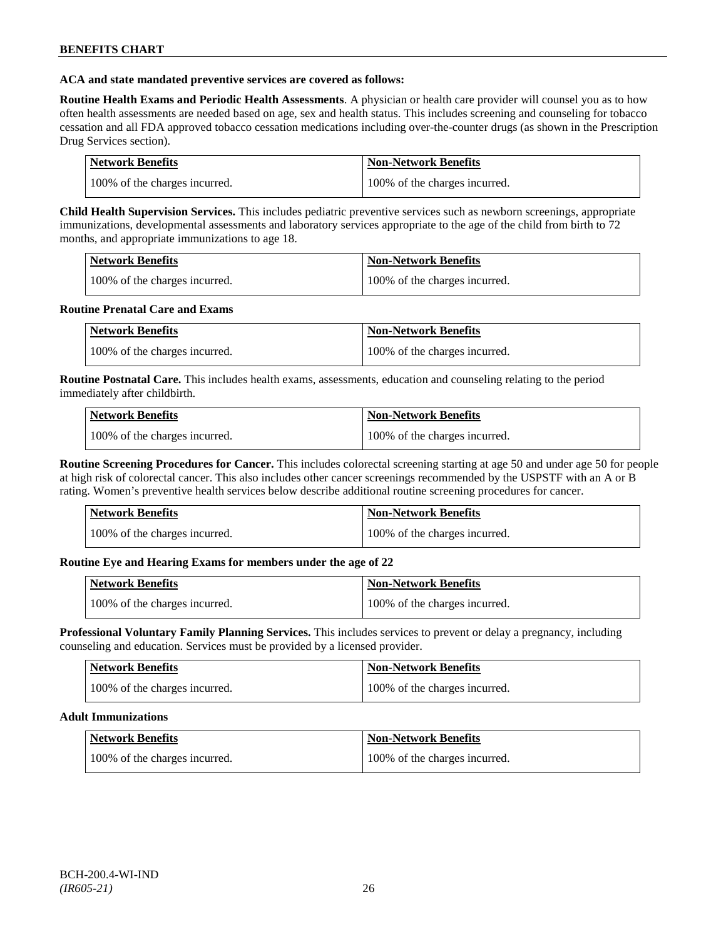### **ACA and state mandated preventive services are covered as follows:**

**Routine Health Exams and Periodic Health Assessments**. A physician or health care provider will counsel you as to how often health assessments are needed based on age, sex and health status. This includes screening and counseling for tobacco cessation and all FDA approved tobacco cessation medications including over-the-counter drugs (as shown in the Prescription Drug Services section).

| Network Benefits              | Non-Network Benefits          |
|-------------------------------|-------------------------------|
| 100% of the charges incurred. | 100% of the charges incurred. |

**Child Health Supervision Services.** This includes pediatric preventive services such as newborn screenings, appropriate immunizations, developmental assessments and laboratory services appropriate to the age of the child from birth to 72 months, and appropriate immunizations to age 18.

| <b>Network Benefits</b>       | <b>Non-Network Benefits</b>   |
|-------------------------------|-------------------------------|
| 100% of the charges incurred. | 100% of the charges incurred. |

### **Routine Prenatal Care and Exams**

| Network Benefits              | <b>Non-Network Benefits</b>   |
|-------------------------------|-------------------------------|
| 100% of the charges incurred. | 100% of the charges incurred. |

**Routine Postnatal Care.** This includes health exams, assessments, education and counseling relating to the period immediately after childbirth.

| <b>Network Benefits</b>       | Non-Network Benefits          |
|-------------------------------|-------------------------------|
| 100% of the charges incurred. | 100% of the charges incurred. |

**Routine Screening Procedures for Cancer.** This includes colorectal screening starting at age 50 and under age 50 for people at high risk of colorectal cancer. This also includes other cancer screenings recommended by the USPSTF with an A or B rating. Women's preventive health services below describe additional routine screening procedures for cancer.

| Network Benefits              | <b>Non-Network Benefits</b>   |
|-------------------------------|-------------------------------|
| 100% of the charges incurred. | 100% of the charges incurred. |

# **Routine Eye and Hearing Exams for members under the age of 22**

| Network Benefits              | <b>Non-Network Benefits</b>   |
|-------------------------------|-------------------------------|
| 100% of the charges incurred. | 100% of the charges incurred. |

**Professional Voluntary Family Planning Services.** This includes services to prevent or delay a pregnancy, including counseling and education. Services must be provided by a licensed provider.

| <b>Network Benefits</b>       | <b>Non-Network Benefits</b>   |
|-------------------------------|-------------------------------|
| 100% of the charges incurred. | 100% of the charges incurred. |

#### **Adult Immunizations**

| Network Benefits              | <b>Non-Network Benefits</b>   |
|-------------------------------|-------------------------------|
| 100% of the charges incurred. | 100% of the charges incurred. |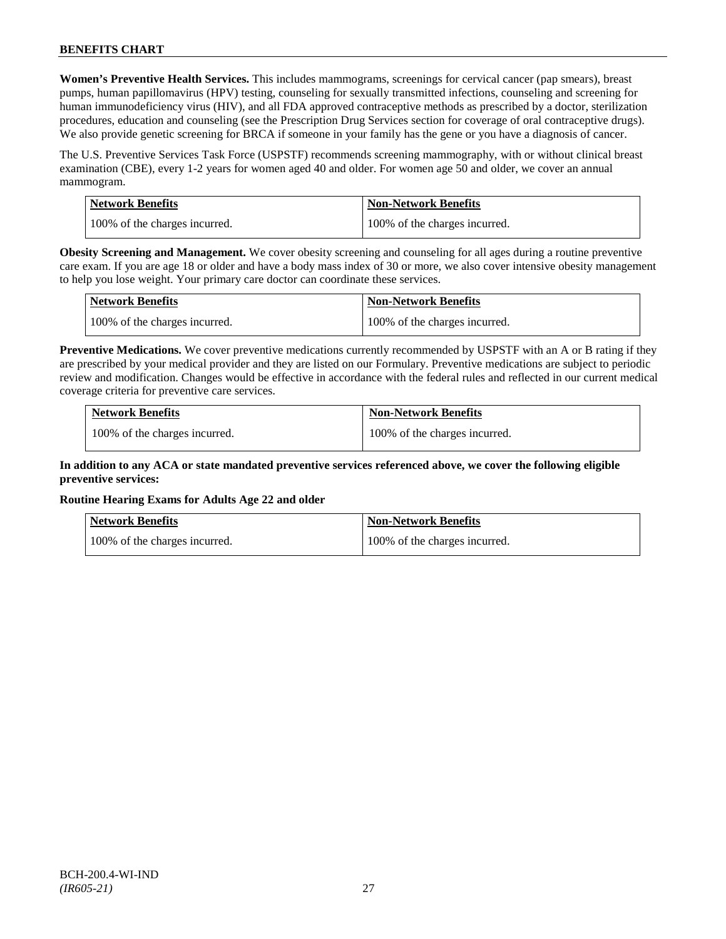**Women's Preventive Health Services.** This includes mammograms, screenings for cervical cancer (pap smears), breast pumps, human papillomavirus (HPV) testing, counseling for sexually transmitted infections, counseling and screening for human immunodeficiency virus (HIV), and all FDA approved contraceptive methods as prescribed by a doctor, sterilization procedures, education and counseling (see the Prescription Drug Services section for coverage of oral contraceptive drugs). We also provide genetic screening for BRCA if someone in your family has the gene or you have a diagnosis of cancer.

The U.S. Preventive Services Task Force (USPSTF) recommends screening mammography, with or without clinical breast examination (CBE), every 1-2 years for women aged 40 and older. For women age 50 and older, we cover an annual mammogram.

| Network Benefits              | <b>Non-Network Benefits</b>   |
|-------------------------------|-------------------------------|
| 100% of the charges incurred. | 100% of the charges incurred. |

**Obesity Screening and Management.** We cover obesity screening and counseling for all ages during a routine preventive care exam. If you are age 18 or older and have a body mass index of 30 or more, we also cover intensive obesity management to help you lose weight. Your primary care doctor can coordinate these services.

| <b>Network Benefits</b>       | <b>Non-Network Benefits</b>   |
|-------------------------------|-------------------------------|
| 100% of the charges incurred. | 100% of the charges incurred. |

**Preventive Medications.** We cover preventive medications currently recommended by USPSTF with an A or B rating if they are prescribed by your medical provider and they are listed on our Formulary. Preventive medications are subject to periodic review and modification. Changes would be effective in accordance with the federal rules and reflected in our current medical coverage criteria for preventive care services.

| <b>Network Benefits</b>       | <b>Non-Network Benefits</b>   |
|-------------------------------|-------------------------------|
| 100% of the charges incurred. | 100% of the charges incurred. |

# **In addition to any ACA or state mandated preventive services referenced above, we cover the following eligible preventive services:**

# **Routine Hearing Exams for Adults Age 22 and older**

| Network Benefits              | <b>Non-Network Benefits</b>   |
|-------------------------------|-------------------------------|
| 100% of the charges incurred. | 100% of the charges incurred. |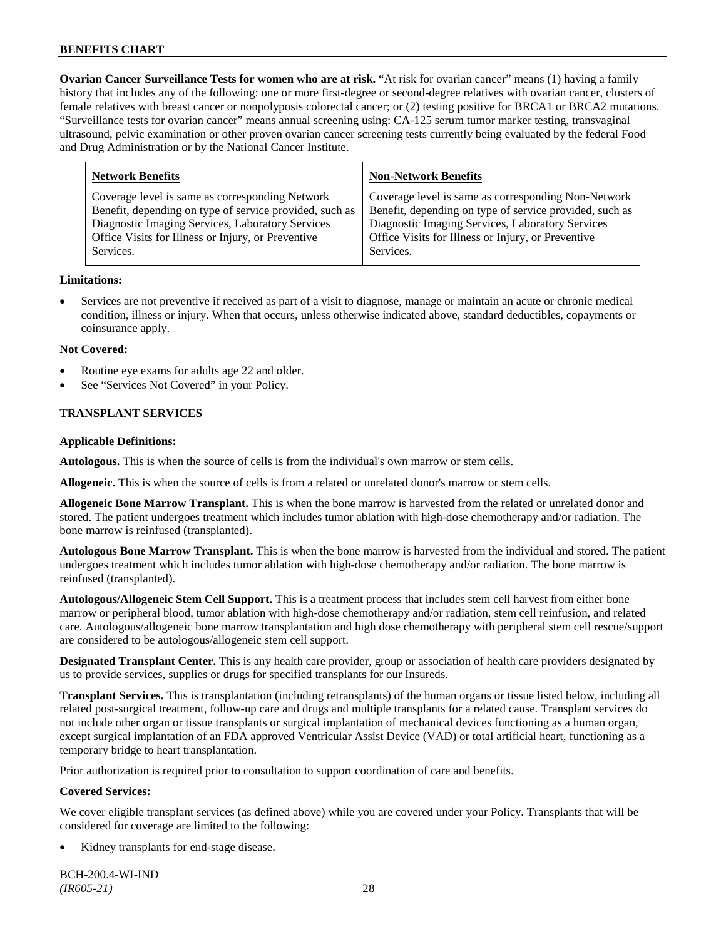**Ovarian Cancer Surveillance Tests for women who are at risk.** "At risk for ovarian cancer" means (1) having a family history that includes any of the following: one or more first-degree or second-degree relatives with ovarian cancer, clusters of female relatives with breast cancer or nonpolyposis colorectal cancer; or (2) testing positive for BRCA1 or BRCA2 mutations. "Surveillance tests for ovarian cancer" means annual screening using: CA-125 serum tumor marker testing, transvaginal ultrasound, pelvic examination or other proven ovarian cancer screening tests currently being evaluated by the federal Food and Drug Administration or by the National Cancer Institute.

| <b>Network Benefits</b>                                 | <b>Non-Network Benefits</b>                             |
|---------------------------------------------------------|---------------------------------------------------------|
| Coverage level is same as corresponding Network         | Coverage level is same as corresponding Non-Network     |
| Benefit, depending on type of service provided, such as | Benefit, depending on type of service provided, such as |
| Diagnostic Imaging Services, Laboratory Services        | Diagnostic Imaging Services, Laboratory Services        |
| Office Visits for Illness or Injury, or Preventive      | Office Visits for Illness or Injury, or Preventive      |
| Services.                                               | Services.                                               |
|                                                         |                                                         |

### **Limitations:**

• Services are not preventive if received as part of a visit to diagnose, manage or maintain an acute or chronic medical condition, illness or injury. When that occurs, unless otherwise indicated above, standard deductibles, copayments or coinsurance apply.

### **Not Covered:**

- Routine eye exams for adults age 22 and older.
- See "Services Not Covered" in your Policy.

# **TRANSPLANT SERVICES**

### **Applicable Definitions:**

**Autologous.** This is when the source of cells is from the individual's own marrow or stem cells.

**Allogeneic.** This is when the source of cells is from a related or unrelated donor's marrow or stem cells.

**Allogeneic Bone Marrow Transplant.** This is when the bone marrow is harvested from the related or unrelated donor and stored. The patient undergoes treatment which includes tumor ablation with high-dose chemotherapy and/or radiation. The bone marrow is reinfused (transplanted).

**Autologous Bone Marrow Transplant.** This is when the bone marrow is harvested from the individual and stored. The patient undergoes treatment which includes tumor ablation with high-dose chemotherapy and/or radiation. The bone marrow is reinfused (transplanted).

**Autologous/Allogeneic Stem Cell Support.** This is a treatment process that includes stem cell harvest from either bone marrow or peripheral blood, tumor ablation with high-dose chemotherapy and/or radiation, stem cell reinfusion, and related care. Autologous/allogeneic bone marrow transplantation and high dose chemotherapy with peripheral stem cell rescue/support are considered to be autologous/allogeneic stem cell support.

**Designated Transplant Center.** This is any health care provider, group or association of health care providers designated by us to provide services, supplies or drugs for specified transplants for our Insureds.

**Transplant Services.** This is transplantation (including retransplants) of the human organs or tissue listed below, including all related post-surgical treatment, follow-up care and drugs and multiple transplants for a related cause. Transplant services do not include other organ or tissue transplants or surgical implantation of mechanical devices functioning as a human organ, except surgical implantation of an FDA approved Ventricular Assist Device (VAD) or total artificial heart, functioning as a temporary bridge to heart transplantation.

Prior authorization is required prior to consultation to support coordination of care and benefits.

# **Covered Services:**

We cover eligible transplant services (as defined above) while you are covered under your Policy. Transplants that will be considered for coverage are limited to the following:

Kidney transplants for end-stage disease.

BCH-200.4-WI-IND *(IR605-21)* 28